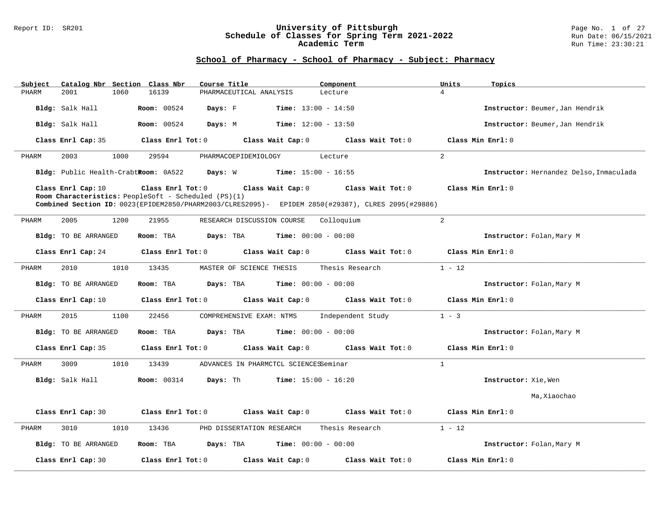### Report ID: SR201 **University of Pittsburgh** Page No. 1 of 27 **Schedule of Classes for Spring Term 2021-2022** Run Date: 06/15/2021 **Academic Term** Run Time: 23:30:21

| Subject                                                                                                                                                                          | Catalog Nbr Section Class Nbr<br>Course Title | Component                                             | Units<br>Topics                         |
|----------------------------------------------------------------------------------------------------------------------------------------------------------------------------------|-----------------------------------------------|-------------------------------------------------------|-----------------------------------------|
| 2001<br>PHARM                                                                                                                                                                    | 1060<br>16139<br>PHARMACEUTICAL ANALYSIS      | Lecture                                               | $\overline{4}$                          |
| Bldg: Salk Hall                                                                                                                                                                  | <b>Room:</b> 00524<br>Days: F                 | <b>Time:</b> $13:00 - 14:50$                          | Instructor: Beumer, Jan Hendrik         |
| Bldg: Salk Hall                                                                                                                                                                  | Days: M<br><b>Room: 00524</b>                 | $Time: 12:00 - 13:50$                                 | Instructor: Beumer, Jan Hendrik         |
| Class Enrl Cap: 35                                                                                                                                                               | Class Enrl Tot: 0                             | Class Wait Cap: 0<br>Class Wait Tot: 0                | Class Min Enrl: 0                       |
| 2003<br>PHARM                                                                                                                                                                    | 1000<br>29594<br>PHARMACOEPIDEMIOLOGY         | Lecture                                               | $\overline{2}$                          |
|                                                                                                                                                                                  | Bldg: Public Health-CrabtRoom: 0A522 Days: W  | <b>Time:</b> $15:00 - 16:55$                          | Instructor: Hernandez Delso, Inmaculada |
| Class Enrl Cap: 10<br>Room Characteristics: PeopleSoft - Scheduled (PS)(1)<br>Combined Section ID: 0023(EPIDEM2850/PHARM2003/CLRES2095)- EPIDEM 2850(#29387), CLRES 2095(#29886) | Class Min Enrl: 0<br>Class Wait Tot: 0        |                                                       |                                         |
| 2005<br>PHARM                                                                                                                                                                    | 1200<br>21955                                 | RESEARCH DISCUSSION COURSE Colloquium                 | 2                                       |
| <b>Bldg:</b> TO BE ARRANGED                                                                                                                                                      | Room: TBA<br>Days: TBA                        | $Time: 00:00 - 00:00$                                 | Instructor: Folan, Mary M               |
| Class Enrl Cap: 24                                                                                                                                                               |                                               | Class Enrl Tot: 0 Class Wait Cap: 0 Class Wait Tot: 0 | Class Min Enrl: 0                       |
| 2010<br>PHARM                                                                                                                                                                    | MASTER OF SCIENCE THESIS<br>1010<br>13435     | Thesis Research                                       | $1 - 12$                                |
| Bldg: TO BE ARRANGED                                                                                                                                                             | Room: TBA                                     | <b>Days:</b> TBA <b>Time:</b> $00:00 - 00:00$         | Instructor: Folan, Mary M               |
| Class Enrl Cap: 10                                                                                                                                                               | Class Enrl Tot: 0                             | Class Wait Cap: 0<br>Class Wait Tot: 0                | Class Min Enrl: 0                       |
| 2015<br>PHARM                                                                                                                                                                    | 1100<br>22456<br>COMPREHENSIVE EXAM: NTMS     | Independent Study                                     | $1 - 3$                                 |
| Bldg: TO BE ARRANGED                                                                                                                                                             | Room: TBA                                     | <b>Days:</b> TBA <b>Time:</b> $00:00 - 00:00$         | Instructor: Folan, Mary M               |
| Class Enrl Cap: 35                                                                                                                                                               | Class Enrl Tot: 0                             | Class Wait Cap: $0$ Class Wait Tot: $0$               | Class Min Enrl: 0                       |
| PHARM<br>3009                                                                                                                                                                    | 1010<br>13439                                 | ADVANCES IN PHARMCTCL SCIENCESSeminar                 | $\mathbf{1}$                            |
| Bldg: Salk Hall                                                                                                                                                                  | Room: 00314 Days: Th                          | $Time: 15:00 - 16:20$                                 | Instructor: Xie, Wen                    |
|                                                                                                                                                                                  |                                               |                                                       | Ma, Xiaochao                            |
| Class Enrl Cap: 30                                                                                                                                                               | Class Wait Cap: 0<br>Class Enrl Tot: 0        | Class Wait Tot: 0                                     | Class Min Enrl: 0                       |
| PHARM<br>3010                                                                                                                                                                    | 1010<br>13436<br>PHD DISSERTATION RESEARCH    | Thesis Research                                       | $1 - 12$                                |
| <b>Bldg:</b> TO BE ARRANGED                                                                                                                                                      | Room: TBA                                     | <b>Days:</b> TBA <b>Time:</b> $00:00 - 00:00$         | Instructor: Folan, Mary M               |
| Class Enrl Cap: 30                                                                                                                                                               | Class Enrl Tot: 0                             | Class Wait Cap: 0<br>Class Wait Tot: 0                | Class Min Enrl: 0                       |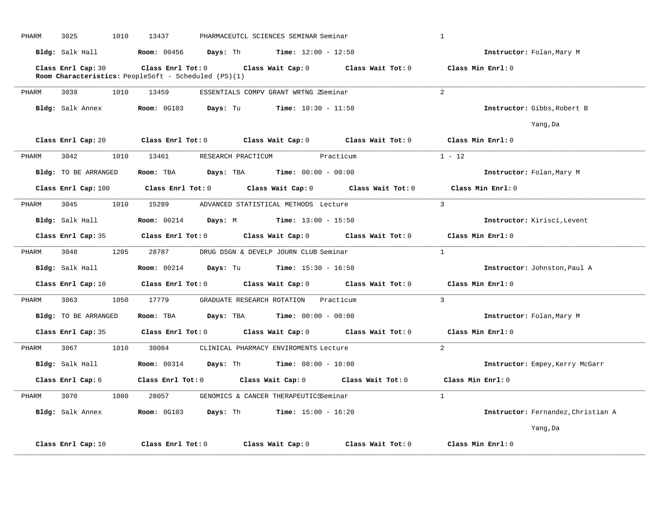| PHARM | 3025<br>1010                                                               | 13437              |                                                                   | PHARMACEUTCL SCIENCES SEMINAR Seminar |                                                                          | $\mathbf{1}$                       |
|-------|----------------------------------------------------------------------------|--------------------|-------------------------------------------------------------------|---------------------------------------|--------------------------------------------------------------------------|------------------------------------|
|       | Bldg: Salk Hall                                                            |                    | Room: 00456 Days: Th                                              | <b>Time:</b> $12:00 - 12:50$          |                                                                          | Instructor: Folan, Mary M          |
|       | Class Enrl Cap: 30<br>Room Characteristics: PeopleSoft - Scheduled (PS)(1) |                    | $Class$ $Enrl$ $Tot: 0$                                           |                                       | Class Wait Cap: 0 Class Wait Tot: 0 Class Min Enrl: 0                    |                                    |
| PHARM | 3039<br>1010                                                               | 13459              |                                                                   | ESSENTIALS COMPV GRANT WRTNG 2Seminar |                                                                          | $\overline{2}$                     |
|       | Bldg: Salk Annex                                                           |                    | Room: 0G103 Days: Tu                                              | $Time: 10:30 - 11:50$                 |                                                                          | Instructor: Gibbs, Robert B        |
|       |                                                                            |                    |                                                                   |                                       |                                                                          | Yang, Da                           |
|       | Class Enrl Cap: 20                                                         | Class Enrl Tot: 0  |                                                                   |                                       | Class Wait Cap: $0$ Class Wait Tot: $0$                                  | Class Min Enrl: 0                  |
| PHARM | 3042<br>1010                                                               |                    | 13461 RESEARCH PRACTICUM Practicum                                |                                       |                                                                          | $1 - 12$                           |
|       | <b>Bldg:</b> TO BE ARRANGED                                                |                    | Room: TBA $Days:$ TBA $Time: 00:00 - 00:00$                       |                                       |                                                                          | Instructor: Folan, Mary M          |
|       | Class Enrl Cap: 100                                                        |                    | Class Enrl Tot: 0 Class Wait Cap: 0                               |                                       | Class Wait Tot: 0                                                        | Class Min Enrl: 0                  |
| PHARM | 3045<br>1010                                                               | 15289              |                                                                   | ADVANCED STATISTICAL METHODS Lecture  |                                                                          | 3                                  |
|       | Bldg: Salk Hall                                                            |                    | Room: 00214 Days: M Time: 13:00 - 15:50                           |                                       |                                                                          | Instructor: Kirisci, Levent        |
|       | Class Enrl Cap: 35                                                         |                    | $Class$ $Enr1$ $Tot: 0$                                           |                                       | Class Wait Cap: 0 Class Wait Tot: 0                                      | Class Min Enrl: 0                  |
| PHARM | 1205<br>3048                                                               | 28787              |                                                                   | DRUG DSGN & DEVELP JOURN CLUB Seminar |                                                                          | $\mathbf{1}$                       |
|       | Bldg: Salk Hall                                                            |                    | <b>Room:</b> 00214 <b>Days:</b> Tu <b>Time:</b> 15:30 - 16:50     |                                       |                                                                          | Instructor: Johnston, Paul A       |
|       |                                                                            |                    |                                                                   |                                       | Class Enrl Cap: 10 Class Enrl Tot: 0 Class Wait Cap: 0 Class Wait Tot: 0 | Class Min Enrl: 0                  |
| PHARM | 3063                                                                       |                    | 1050 17779 GRADUATE RESEARCH ROTATION Practicum                   |                                       |                                                                          | $\overline{3}$                     |
|       | Bldg: TO BE ARRANGED                                                       | Room: TBA          | <b>Days:</b> TBA <b>Time:</b> $00:00 - 00:00$                     |                                       |                                                                          | Instructor: Folan, Mary M          |
|       |                                                                            |                    |                                                                   |                                       | Class Enrl Cap: 35 Class Enrl Tot: 0 Class Wait Cap: 0 Class Wait Tot: 0 | Class Min Enrl: 0                  |
| PHARM | 3067                                                                       | 1010 30084         |                                                                   | CLINICAL PHARMACY ENVIROMENTS Lecture |                                                                          | $\overline{2}$                     |
|       | Bldg: Salk Hall                                                            | <b>Room:</b> 00314 | <b>Days:</b> Th $\frac{1}{2}$ <b>Time:</b> $08:00 - 10:00$        |                                       |                                                                          | Instructor: Empey, Kerry McGarr    |
|       | Class Enrl Cap: 6                                                          |                    |                                                                   |                                       | Class Enrl Tot: 0 Class Wait Cap: 0 Class Wait Tot: 0                    | Class Min Enrl: 0                  |
| PHARM | 3070<br>1080                                                               | 28057              |                                                                   | GENOMICS & CANCER THERAPEUTICSSeminar |                                                                          | $\mathbf{1}$                       |
|       | Bldg: Salk Annex                                                           |                    | <b>Room:</b> $0G103$ <b>Days:</b> Th <b>Time:</b> $15:00 - 16:20$ |                                       |                                                                          | Instructor: Fernandez, Christian A |
|       |                                                                            |                    |                                                                   |                                       |                                                                          | Yang, Da                           |
|       | Class Enrl Cap: 10                                                         | Class Enrl Tot: 0  |                                                                   | Class Wait Cap: 0                     | Class Wait Tot: 0                                                        | Class Min Enrl: 0                  |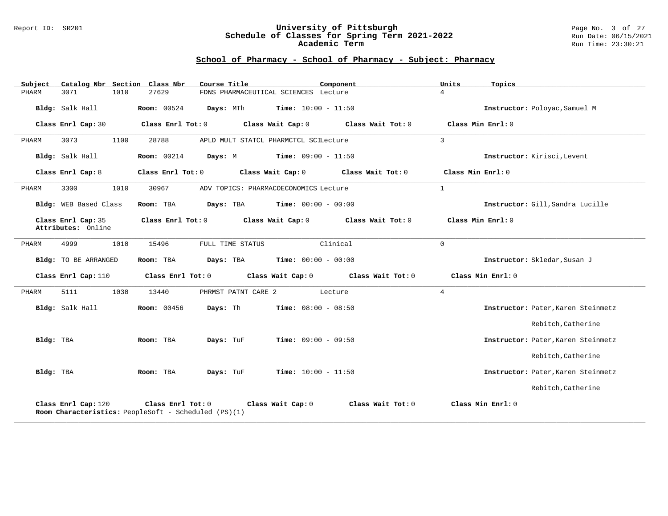### Report ID: SR201 **University of Pittsburgh** Page No. 3 of 27 **Schedule of Classes for Spring Term 2021-2022** Run Date: 06/15/2021 **Academic Term** Run Time: 23:30:21

| Subject   |                                          |      | Catalog Nbr Section Class Nbr                                               | Course Title                                  |                                      | Component                           | Units          | Topics                             |
|-----------|------------------------------------------|------|-----------------------------------------------------------------------------|-----------------------------------------------|--------------------------------------|-------------------------------------|----------------|------------------------------------|
| PHARM     | 3071                                     | 1010 | 27629                                                                       |                                               | FDNS PHARMACEUTICAL SCIENCES Lecture |                                     | $\overline{4}$ |                                    |
|           | Bldg: Salk Hall                          |      | <b>Room:</b> 00524                                                          | Days: MTh                                     | <b>Time:</b> $10:00 - 11:50$         |                                     |                | Instructor: Poloyac, Samuel M      |
|           | Class Enrl Cap: 30                       |      | Class Enrl Tot: 0                                                           |                                               | Class Wait Cap: 0                    | Class Wait Tot: 0                   |                | Class Min Enrl: 0                  |
| PHARM     | 3073                                     | 1100 | 28788                                                                       | APLD MULT STATCL PHARMCTCL SCILecture         |                                      |                                     | $\mathbf{3}$   |                                    |
|           | Bldg: Salk Hall                          |      | <b>Room: 00214</b>                                                          | <b>Days:</b> M <b>Time:</b> $09:00 - 11:50$   |                                      |                                     |                | Instructor: Kirisci, Levent        |
|           | Class Enrl Cap: 8                        |      | Class Enrl Tot: 0                                                           |                                               | Class Wait Cap: 0                    | Class Wait Tot: 0                   |                | Class Min Enrl: 0                  |
| PHARM     | 3300                                     | 1010 | 30967                                                                       | ADV TOPICS: PHARMACOECONOMICS Lecture         |                                      |                                     | <sup>1</sup>   |                                    |
|           | Bldg: WEB Based Class                    |      | Room: TBA                                                                   | Days: TBA                                     | <b>Time:</b> $00:00 - 00:00$         |                                     |                | Instructor: Gill, Sandra Lucille   |
|           | Class Enrl Cap: 35<br>Attributes: Online |      | Class Enrl Tot: 0                                                           | Class Wait Cap: 0                             |                                      | Class Wait Tot: 0                   |                | Class Min Enrl: 0                  |
| PHARM     | 4999                                     | 1010 | 15496                                                                       | FULL TIME STATUS                              |                                      | Clinical                            | $\Omega$       |                                    |
|           | Bldg: TO BE ARRANGED                     |      | Room: TBA                                                                   | <b>Days:</b> TBA <b>Time:</b> $00:00 - 00:00$ |                                      |                                     |                | Instructor: Skledar, Susan J       |
|           | Class Enrl Cap: 110                      |      | Class Enrl Tot: 0                                                           |                                               |                                      | Class Wait Cap: 0 Class Wait Tot: 0 |                | Class Min Enrl: 0                  |
| PHARM     | 5111                                     | 1030 | 13440                                                                       | PHRMST PATNT CARE 2                           |                                      | Lecture                             | 4              |                                    |
|           | Bldg: Salk Hall                          |      | <b>Room:</b> 00456                                                          | Days: Th                                      | $Time: 08:00 - 08:50$                |                                     |                | Instructor: Pater, Karen Steinmetz |
|           |                                          |      |                                                                             |                                               |                                      |                                     |                | Rebitch, Catherine                 |
| Bldg: TBA |                                          |      | Room: TBA                                                                   | Days: TuF                                     | <b>Time:</b> $09:00 - 09:50$         |                                     |                | Instructor: Pater, Karen Steinmetz |
|           |                                          |      |                                                                             |                                               |                                      |                                     |                | Rebitch, Catherine                 |
| Bldg: TBA |                                          |      | Room: TBA                                                                   | Days: TuF                                     | $Time: 10:00 - 11:50$                |                                     |                | Instructor: Pater, Karen Steinmetz |
|           |                                          |      |                                                                             |                                               |                                      |                                     |                | Rebitch, Catherine                 |
|           | Class Enrl Cap: 120                      |      | Class Enrl Tot: $0$<br>Room Characteristics: PeopleSoft - Scheduled (PS)(1) |                                               | Class Wait Cap: 0                    | Class Wait Tot: 0                   |                | Class Min Enrl: 0                  |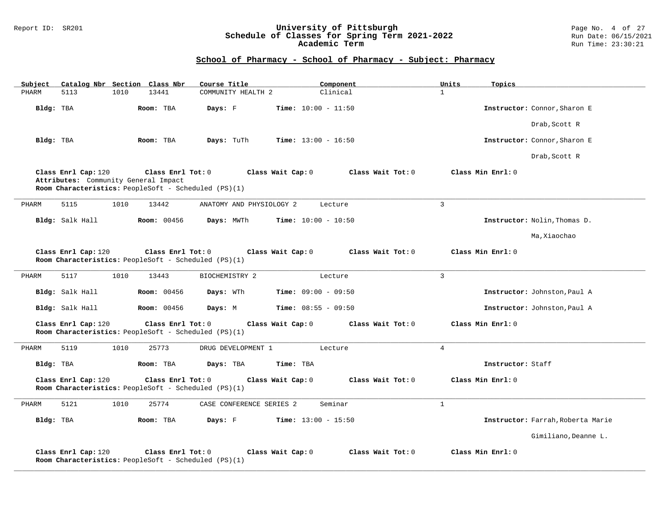### Report ID: SR201 **University of Pittsburgh** Page No. 4 of 27 **Schedule of Classes for Spring Term 2021-2022** Run Date: 06/15/2021 **Academic Term** Run Time: 23:30:21

| Catalog Nbr Section Class Nbr<br>Subject                    | Course Title                                                                                   | Component                    | Units<br>Topics                   |
|-------------------------------------------------------------|------------------------------------------------------------------------------------------------|------------------------------|-----------------------------------|
| PHARM<br>5113<br>1010                                       | 13441<br>COMMUNITY HEALTH 2                                                                    | Clinical                     | $\mathbf{1}$                      |
| Bldg: TBA                                                   | Room: TBA<br>Days: F                                                                           | Time: $10:00 - 11:50$        | Instructor: Connor, Sharon E      |
|                                                             |                                                                                                |                              | Drab, Scott R                     |
| Bldg: TBA                                                   | Days: TuTh<br>Room: TBA                                                                        | <b>Time:</b> $13:00 - 16:50$ | Instructor: Connor, Sharon E      |
|                                                             |                                                                                                |                              | Drab, Scott R                     |
| Class Enrl Cap: 120<br>Attributes: Community General Impact | Class Enrl Tot: 0<br>Class Wait Cap: 0<br>Room Characteristics: PeopleSoft - Scheduled (PS)(1) | Class Wait Tot: 0            | Class Min Enrl: 0                 |
| PHARM<br>5115<br>1010                                       | 13442<br>ANATOMY AND PHYSIOLOGY 2                                                              | Lecture                      | $\overline{3}$                    |
| Bldg: Salk Hall                                             | <b>Room: 00456</b><br>Days: MWTh                                                               | <b>Time:</b> $10:00 - 10:50$ | Instructor: Nolin, Thomas D.      |
|                                                             |                                                                                                |                              | Ma, Xiaochao                      |
| Class Enrl Cap: 120                                         | Class Enrl Tot: 0<br>Class Wait Cap: 0<br>Room Characteristics: PeopleSoft - Scheduled (PS)(1) | Class Wait Tot: 0            | Class Min Enrl: 0                 |
| 5117<br>1010<br>PHARM                                       | 13443<br>BIOCHEMISTRY 2                                                                        | Lecture                      | $\mathbf{3}$                      |
| Bldg: Salk Hall                                             | <b>Room: 00456</b><br>Days: WTh                                                                | Time: $09:00 - 09:50$        | Instructor: Johnston, Paul A      |
| Bldg: Salk Hall                                             | <b>Room: 00456</b><br>Days: M                                                                  | <b>Time:</b> $08:55 - 09:50$ | Instructor: Johnston, Paul A      |
| Class Enrl Cap: 120                                         | Class Enrl Tot: 0<br>Class Wait Cap: 0<br>Room Characteristics: PeopleSoft - Scheduled (PS)(1) | Class Wait Tot: 0            | Class Min Enrl: 0                 |
| PHARM<br>5119<br>1010                                       | 25773<br>DRUG DEVELOPMENT 1                                                                    | Lecture                      | $\overline{4}$                    |
| Bldg: TBA                                                   | Room: TBA<br>Days: TBA                                                                         | Time: TBA                    | Instructor: Staff                 |
| Class Enrl Cap: 120                                         | Class Wait Cap: 0<br>Class Enrl Tot: 0<br>Room Characteristics: PeopleSoft - Scheduled (PS)(1) | Class Wait Tot: 0            | Class Min Enrl: 0                 |
| 5121<br>1010<br>PHARM                                       | 25774<br>CASE CONFERENCE SERIES 2                                                              | Seminar                      | $\mathbf{1}$                      |
| Bldg: TBA                                                   | Days: F<br>Room: TBA                                                                           | <b>Time:</b> $13:00 - 15:50$ | Instructor: Farrah, Roberta Marie |
|                                                             |                                                                                                |                              | Gimiliano, Deanne L.              |
| Class Enrl Cap: 120                                         | Class Enrl Tot: 0<br>Class Wait Cap: 0<br>Room Characteristics: PeopleSoft - Scheduled (PS)(1) | Class Wait Tot: 0            | Class Min Enrl: 0                 |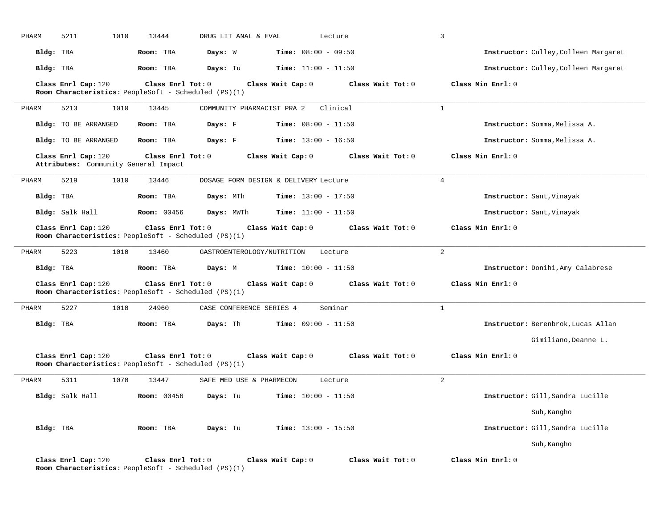| PHARM     | 1010<br>5211                                                                | 13444              | DRUG LIT ANAL & EVAL       |                                       | Lecture           | $\mathbf{3}$                         |
|-----------|-----------------------------------------------------------------------------|--------------------|----------------------------|---------------------------------------|-------------------|--------------------------------------|
| Bldg: TBA |                                                                             | Room: TBA          | Days: W                    | <b>Time:</b> $08:00 - 09:50$          |                   | Instructor: Culley, Colleen Margaret |
| Bldg: TBA |                                                                             | Room: TBA          | Days: Tu                   | <b>Time:</b> $11:00 - 11:50$          |                   | Instructor: Culley, Colleen Margaret |
|           | Class Enrl Cap: 120<br>Room Characteristics: PeopleSoft - Scheduled (PS)(1) | Class Enrl Tot: 0  |                            | Class Wait Cap: 0                     | Class Wait Tot: 0 | Class Min Enrl: 0                    |
| PHARM     | 1010<br>5213                                                                | 13445              | COMMUNITY PHARMACIST PRA 2 |                                       | Clinical          | $\mathbf{1}$                         |
|           | Bldg: TO BE ARRANGED                                                        | Room: TBA          | Days: F                    | Time: $08:00 - 11:50$                 |                   | Instructor: Somma, Melissa A.        |
|           | Bldg: TO BE ARRANGED                                                        | Room: TBA          | Days: F                    | <b>Time:</b> $13:00 - 16:50$          |                   | Instructor: Somma, Melissa A.        |
|           | Class Enrl Cap: 120<br>Attributes: Community General Impact                 | Class Enrl Tot: 0  |                            | Class Wait Cap: 0                     | Class Wait Tot: 0 | Class Min Enrl: 0                    |
| PHARM     | 5219<br>1010                                                                | 13446              |                            | DOSAGE FORM DESIGN & DELIVERY Lecture |                   | 4                                    |
| Bldg: TBA |                                                                             | Room: TBA          | Days: MTh                  | <b>Time:</b> $13:00 - 17:50$          |                   | Instructor: Sant, Vinayak            |
|           | Bldg: Salk Hall                                                             | <b>Room:</b> 00456 | Days: MWTh                 | <b>Time:</b> $11:00 - 11:50$          |                   | Instructor: Sant, Vinayak            |
|           | Class Enrl Cap: 120<br>Room Characteristics: PeopleSoft - Scheduled (PS)(1) | Class Enrl Tot: 0  |                            | Class Wait Cap: 0                     | Class Wait Tot: 0 | Class Min Enrl: 0                    |
| PHARM     | 5223<br>1010                                                                | 13460              | GASTROENTEROLOGY/NUTRITION |                                       | Lecture           | 2                                    |
| Bldg: TBA |                                                                             | Room: TBA          | Days: M                    | <b>Time:</b> $10:00 - 11:50$          |                   | Instructor: Donihi, Amy Calabrese    |
|           | Class Enrl Cap: 120<br>Room Characteristics: PeopleSoft - Scheduled (PS)(1) | Class Enrl Tot: 0  |                            | Class Wait Cap: 0                     | Class Wait Tot: 0 | Class Min Enrl: 0                    |
| PHARM     | 5227<br>1010                                                                | 24960              | CASE CONFERENCE SERIES 4   |                                       | Seminar           | $\mathbf{1}$                         |
| Bldg: TBA |                                                                             | Room: TBA          | Days: Th                   | <b>Time:</b> $09:00 - 11:50$          |                   | Instructor: Berenbrok, Lucas Allan   |
|           |                                                                             |                    |                            |                                       |                   | Gimiliano, Deanne L.                 |
|           | Class Enrl Cap: 120<br>Room Characteristics: PeopleSoft - Scheduled (PS)(1) | Class Enrl Tot: 0  |                            | Class Wait Cap: 0                     | Class Wait Tot: 0 | Class Min Enrl: 0                    |
| PHARM     | 1070<br>5311                                                                | 13447              | SAFE MED USE & PHARMECON   |                                       | Lecture           | 2                                    |
|           | Bldg: Salk Hall                                                             | <b>Room:</b> 00456 | Days: Tu                   | <b>Time:</b> $10:00 - 11:50$          |                   | Instructor: Gill, Sandra Lucille     |
|           |                                                                             |                    |                            |                                       |                   | Suh, Kangho                          |
| Bldg: TBA |                                                                             | Room: TBA          | Days: Tu                   | <b>Time:</b> $13:00 - 15:50$          |                   | Instructor: Gill, Sandra Lucille     |
|           |                                                                             |                    |                            |                                       |                   | Suh, Kangho                          |
|           | Class Enrl Cap: 120<br>Room Characteristics: PeopleSoft - Scheduled (PS)(1) | Class Enrl Tot: 0  |                            | Class Wait Cap: 0                     | Class Wait Tot: 0 | Class Min Enrl: 0                    |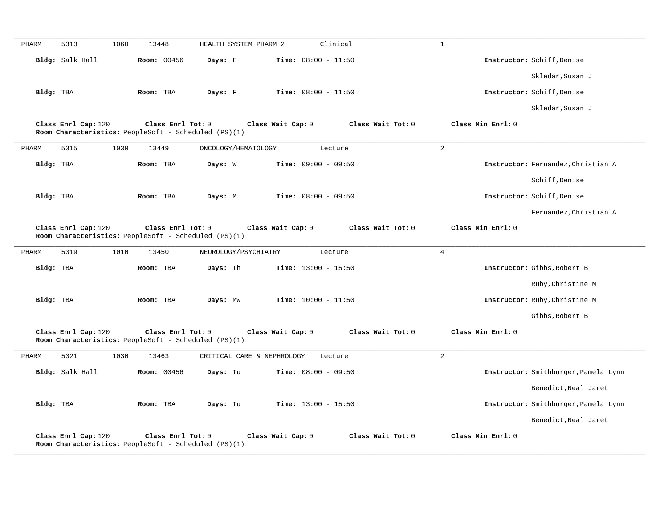| PHARM     | 5313                | 1060 | 13448                                                                     | HEALTH SYSTEM PHARM 2      |                   | Clinical                     |                   | $\mathbf{1}$      |                                      |
|-----------|---------------------|------|---------------------------------------------------------------------------|----------------------------|-------------------|------------------------------|-------------------|-------------------|--------------------------------------|
|           | Bldg: Salk Hall     |      | Room: 00456                                                               | Days: F                    |                   | Time: $08:00 - 11:50$        |                   |                   | Instructor: Schiff, Denise           |
|           |                     |      |                                                                           |                            |                   |                              |                   |                   | Skledar, Susan J                     |
| Bldg: TBA |                     |      | Room: TBA                                                                 | Days: F                    |                   | <b>Time:</b> $08:00 - 11:50$ |                   |                   | Instructor: Schiff, Denise           |
|           |                     |      |                                                                           |                            |                   |                              |                   |                   | Skledar, Susan J                     |
|           | Class Enrl Cap: 120 |      | Class Enrl Tot: 0<br>Room Characteristics: PeopleSoft - Scheduled (PS)(1) |                            | Class Wait Cap: 0 |                              | Class Wait Tot: 0 | Class Min Enrl: 0 |                                      |
| PHARM     | 5315                | 1030 | 13449                                                                     | ONCOLOGY/HEMATOLOGY        |                   | Lecture                      |                   | $\overline{a}$    |                                      |
| Bldg: TBA |                     |      | Room: TBA                                                                 | Days: W                    |                   | Time: $09:00 - 09:50$        |                   |                   | Instructor: Fernandez, Christian A   |
|           |                     |      |                                                                           |                            |                   |                              |                   |                   | Schiff, Denise                       |
| Bldg: TBA |                     |      | Room: TBA                                                                 | Days: M                    |                   | Time: $08:00 - 09:50$        |                   |                   | Instructor: Schiff, Denise           |
|           |                     |      |                                                                           |                            |                   |                              |                   |                   | Fernandez, Christian A               |
|           | Class Enrl Cap: 120 |      | Class Enrl Tot: 0<br>Room Characteristics: PeopleSoft - Scheduled (PS)(1) |                            | Class Wait Cap: 0 |                              | Class Wait Tot: 0 | Class Min Enrl: 0 |                                      |
| PHARM     | 5319                | 1010 | 13450                                                                     | NEUROLOGY/PSYCHIATRY       |                   | Lecture                      |                   | $\overline{4}$    |                                      |
| Bldg: TBA |                     |      | Room: TBA                                                                 | Days: Th                   |                   | Time: $13:00 - 15:50$        |                   |                   | Instructor: Gibbs, Robert B          |
|           |                     |      |                                                                           |                            |                   |                              |                   |                   | Ruby, Christine M                    |
| Bldg: TBA |                     |      | Room: TBA                                                                 | Days: MW                   |                   | <b>Time:</b> $10:00 - 11:50$ |                   |                   | Instructor: Ruby, Christine M        |
|           |                     |      |                                                                           |                            |                   |                              |                   |                   | Gibbs, Robert B                      |
|           | Class Enrl Cap: 120 |      | Class Enrl Tot: 0<br>Room Characteristics: PeopleSoft - Scheduled (PS)(1) |                            | Class Wait Cap: 0 |                              | Class Wait Tot: 0 | Class Min Enrl: 0 |                                      |
| PHARM     | 5321                | 1030 | 13463                                                                     | CRITICAL CARE & NEPHROLOGY |                   | Lecture                      |                   | $\overline{2}$    |                                      |
|           | Bldg: Salk Hall     |      | <b>Room:</b> 00456                                                        | Days: Tu                   |                   | <b>Time:</b> $08:00 - 09:50$ |                   |                   | Instructor: Smithburger, Pamela Lynn |
|           |                     |      |                                                                           |                            |                   |                              |                   |                   | Benedict, Neal Jaret                 |
| Bldg: TBA |                     |      | Room: TBA                                                                 | Days: Tu                   |                   | Time: $13:00 - 15:50$        |                   |                   | Instructor: Smithburger, Pamela Lynn |
|           |                     |      |                                                                           |                            |                   |                              |                   |                   | Benedict, Neal Jaret                 |
|           | Class Enrl Cap: 120 |      | Class Enrl Tot: 0<br>Room Characteristics: PeopleSoft - Scheduled (PS)(1) |                            | Class Wait Cap: 0 |                              | Class Wait Tot: 0 | Class Min Enrl: 0 |                                      |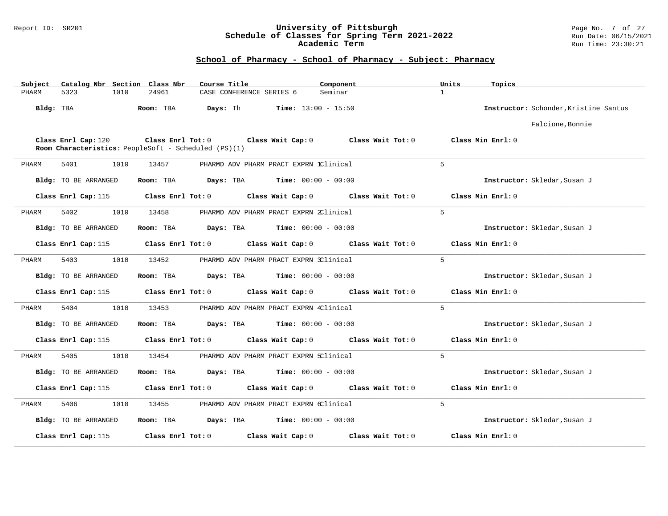### Report ID: SR201 **University of Pittsburgh** Page No. 7 of 27 **Schedule of Classes for Spring Term 2021-2022** Run Date: 06/15/2021 **Academic Term** Run Time: 23:30:21

| Subject   |                             |      | Catalog Nbr Section Class Nbr | Course Title                                         |                                        | Component         | Units        | Topics                                |
|-----------|-----------------------------|------|-------------------------------|------------------------------------------------------|----------------------------------------|-------------------|--------------|---------------------------------------|
| PHARM     | 5323                        | 1010 | 24961                         | CASE CONFERENCE SERIES 6                             |                                        | Seminar           | $\mathbf{1}$ |                                       |
| Bldg: TBA |                             |      | Room: TBA                     | Days: Th                                             | <b>Time:</b> $13:00 - 15:50$           |                   |              | Instructor: Schonder, Kristine Santus |
|           |                             |      |                               |                                                      |                                        |                   |              | Falcione, Bonnie                      |
|           | Class Enrl Cap: 120         |      | Class Enrl Tot: 0             | Room Characteristics: PeopleSoft - Scheduled (PS)(1) | Class Wait Cap: 0                      | Class Wait Tot: 0 |              | Class Min Enrl: 0                     |
| PHARM     | 5401                        | 1010 | 13457                         |                                                      | PHARMD ADV PHARM PRACT EXPRN 1Clinical |                   | 5            |                                       |
|           | Bldg: TO BE ARRANGED        |      | Room: TBA                     | Days: TBA                                            | <b>Time:</b> $00:00 - 00:00$           |                   |              | Instructor: Skledar, Susan J          |
|           | Class Enrl Cap: 115         |      | Class Enrl Tot: 0             |                                                      | Class Wait Cap: 0                      | Class Wait Tot: 0 |              | Class Min Enrl: 0                     |
| PHARM     | 5402                        | 1010 | 13458                         |                                                      | PHARMD ADV PHARM PRACT EXPRN 2Clinical |                   | $5^{\circ}$  |                                       |
|           | Bldg: TO BE ARRANGED        |      | Room: TBA                     | Days: TBA                                            | <b>Time:</b> $00:00 - 00:00$           |                   |              | Instructor: Skledar, Susan J          |
|           | Class Enrl Cap: 115         |      | Class Enrl Tot: 0             |                                                      | Class Wait Cap: 0                      | Class Wait Tot: 0 |              | Class Min Enrl: 0                     |
| PHARM     | 5403                        | 1010 | 13452                         |                                                      | PHARMD ADV PHARM PRACT EXPRN 3Clinical |                   | 5            |                                       |
|           | <b>Bldg:</b> TO BE ARRANGED |      | Room: TBA                     | Days: TBA                                            | Time: $00:00 - 00:00$                  |                   |              | Instructor: Skledar, Susan J          |
|           | Class Enrl Cap: 115         |      | Class Enrl Tot: 0             |                                                      | Class Wait Cap: 0                      | Class Wait Tot: 0 |              | Class Min Enrl: 0                     |
| PHARM     | 5404                        | 1010 | 13453                         |                                                      | PHARMD ADV PHARM PRACT EXPRN 4Clinical |                   | 5            |                                       |
|           | Bldg: TO BE ARRANGED        |      | Room: TBA                     | Days: TBA                                            | <b>Time:</b> $00:00 - 00:00$           |                   |              | Instructor: Skledar, Susan J          |
|           | Class Enrl Cap: 115         |      | Class Enrl Tot: 0             |                                                      | Class Wait Cap: 0                      | Class Wait Tot: 0 |              | Class Min Enrl: 0                     |
| PHARM     | 5405                        | 1010 | 13454                         |                                                      | PHARMD ADV PHARM PRACT EXPRN 5Clinical |                   | $5^{\circ}$  |                                       |
|           | Bldg: TO BE ARRANGED        |      | Room: TBA                     | Days: TBA                                            | <b>Time:</b> $00:00 - 00:00$           |                   |              | Instructor: Skledar, Susan J          |
|           | Class Enrl Cap: 115         |      | Class Enrl Tot: 0             |                                                      | Class Wait Cap: 0                      | Class Wait Tot: 0 |              | Class Min Enrl: 0                     |
| PHARM     | 5406                        | 1010 | 13455                         |                                                      | PHARMD ADV PHARM PRACT EXPRN 6Clinical |                   | 5            |                                       |
|           | <b>Bldg:</b> TO BE ARRANGED |      | Room: TBA                     | Days: TBA                                            | <b>Time:</b> $00:00 - 00:00$           |                   |              | Instructor: Skledar, Susan J          |
|           | Class Enrl Cap: 115         |      | Class Enrl Tot: 0             |                                                      | Class Wait Cap: 0                      | Class Wait Tot: 0 |              | Class Min Enrl: 0                     |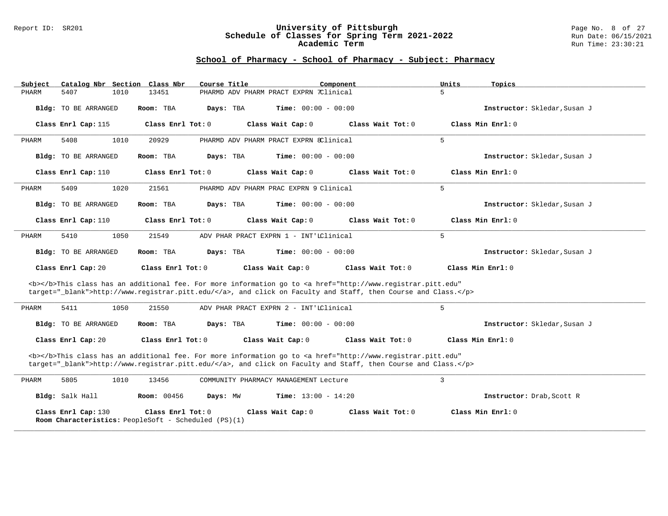#### Report ID: SR201 **University of Pittsburgh** Page No. 8 of 27 **Schedule of Classes for Spring Term 2021-2022** Run Date: 06/15/2021 **Academic Term** Run Time: 23:30:21

| Subject                     | Catalog Nbr Section Class Nbr<br>Course Title                             | Component                                                                                                                                                                                                                          | Units<br>Topics              |
|-----------------------------|---------------------------------------------------------------------------|------------------------------------------------------------------------------------------------------------------------------------------------------------------------------------------------------------------------------------|------------------------------|
| 5407<br>1010<br>PHARM       | 13451                                                                     | PHARMD ADV PHARM PRACT EXPRN 7Clinical                                                                                                                                                                                             | 5                            |
| <b>Bldg:</b> TO BE ARRANGED | Room: TBA<br>Days: TBA                                                    | <b>Time:</b> $00:00 - 00:00$                                                                                                                                                                                                       | Instructor: Skledar, Susan J |
| Class Enrl Cap: 115         | Class Enrl Tot: 0                                                         | Class Wait Cap: 0<br>Class Wait Tot: 0                                                                                                                                                                                             | Class Min Enrl: 0            |
| 5408<br>1010<br>PHARM       | 20929                                                                     | PHARMD ADV PHARM PRACT EXPRN 8Clinical                                                                                                                                                                                             | 5                            |
| Bldg: TO BE ARRANGED        | Room: TBA<br>Days: TBA                                                    | <b>Time:</b> $00:00 - 00:00$                                                                                                                                                                                                       | Instructor: Skledar, Susan J |
| Class Enrl Cap: 110         | Class Enrl Tot: 0                                                         | Class Wait Cap: 0<br>Class Wait Tot: 0                                                                                                                                                                                             | Class Min Enrl: 0            |
| 1020<br>5409<br>PHARM       | 21561                                                                     | PHARMD ADV PHARM PRAC EXPRN 9 Clinical                                                                                                                                                                                             | 5                            |
| Bldg: TO BE ARRANGED        | Room: TBA<br>Days: TBA                                                    | <b>Time:</b> $00:00 - 00:00$                                                                                                                                                                                                       | Instructor: Skledar, Susan J |
| Class Enrl Cap: 110         | Class Enrl Tot: 0                                                         | Class Wait Cap: 0<br>Class Wait Tot: $0$                                                                                                                                                                                           | Class Min Enrl: 0            |
| 1050<br>PHARM<br>5410       | 21549                                                                     | ADV PHAR PRACT EXPRN 1 - INT'LClinical                                                                                                                                                                                             | 5                            |
| <b>Bldg:</b> TO BE ARRANGED | Room: TBA<br>Days: TBA                                                    | <b>Time:</b> $00:00 - 00:00$                                                                                                                                                                                                       | Instructor: Skledar, Susan J |
| Class Enrl Cap: 20          | Class Enrl Tot: 0                                                         | Class Wait Cap: 0<br>Class Wait Tot: 0                                                                                                                                                                                             | Class Min Enrl: 0            |
|                             |                                                                           | <b></b> This class has an additional fee. For more information go to <a <br="" href="http://www.registrar.pitt.edu">target="_blank"&gt;http://www.registrar.pitt.edu/</a> , and click on Faculty and Staff, then Course and Class. |                              |
| 5411<br>1050<br>PHARM       | 21550                                                                     | ADV PHAR PRACT EXPRN 2 - INT'LClinical                                                                                                                                                                                             | 5                            |
| Bldg: TO BE ARRANGED        | Room: TBA<br>Days: TBA                                                    | <b>Time:</b> $00:00 - 00:00$                                                                                                                                                                                                       | Instructor: Skledar, Susan J |
| Class Enrl Cap: 20          | Class Enrl Tot: 0                                                         | Class Wait Tot: 0<br>Class Wait Cap: 0                                                                                                                                                                                             | Class Min Enrl: 0            |
|                             |                                                                           | <b></b> This class has an additional fee. For more information go to <a <br="" href="http://www.registrar.pitt.edu">target="_blank"&gt;http://www.registrar.pitt.edu/</a> , and click on Faculty and Staff, then Course and Class. |                              |
| 5805<br>1010<br>PHARM       | 13456                                                                     | COMMUNITY PHARMACY MANAGEMENT Lecture                                                                                                                                                                                              | 3                            |
| Bldg: Salk Hall             | Room: 00456<br>Days: MW                                                   | Time: $13:00 - 14:20$                                                                                                                                                                                                              | Instructor: Drab, Scott R    |
| Class Enrl Cap: 130         | Class Enrl Tot: 0<br>Room Characteristics: PeopleSoft - Scheduled (PS)(1) | Class Wait Cap: 0<br>Class Wait Tot: 0                                                                                                                                                                                             | Class Min Enrl: 0            |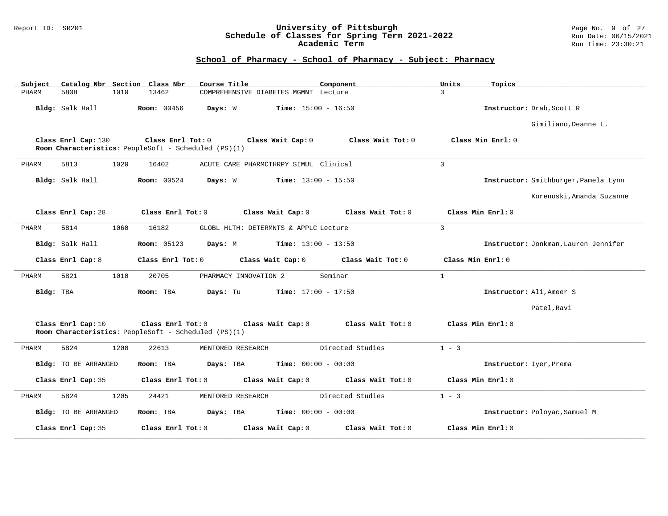### Report ID: SR201 **University of Pittsburgh** Page No. 9 of 27 **Schedule of Classes for Spring Term 2021-2022** Run Date: 06/15/2021 **Academic Term** Run Time: 23:30:21

| Subject   |                      |      | Catalog Nbr Section Class Nbr | Course Title                                                              | Component                    | Units<br>Topics   |                                      |
|-----------|----------------------|------|-------------------------------|---------------------------------------------------------------------------|------------------------------|-------------------|--------------------------------------|
| PHARM     | 5808                 | 1010 | 13462                         | COMPREHENSIVE DIABETES MGMNT Lecture                                      |                              | $\mathcal{L}$     |                                      |
|           | Bldg: Salk Hall      |      | <b>Room: 00456</b>            | Days: W                                                                   | <b>Time:</b> $15:00 - 16:50$ |                   | Instructor: Drab, Scott R            |
|           |                      |      |                               |                                                                           |                              |                   | Gimiliano, Deanne L.                 |
|           | Class Enrl Cap: 130  |      | Class Enrl Tot: 0             | Class Wait Cap: 0<br>Room Characteristics: PeopleSoft - Scheduled (PS)(1) | Class Wait Tot: 0            | Class Min Enrl: 0 |                                      |
| PHARM     | 5813                 | 1020 | 16402                         | ACUTE CARE PHARMCTHRPY SIMUL Clinical                                     |                              | 3                 |                                      |
|           | Bldg: Salk Hall      |      | <b>Room:</b> 00524            | Days: W                                                                   | <b>Time:</b> $13:00 - 15:50$ |                   | Instructor: Smithburger, Pamela Lynn |
|           |                      |      |                               |                                                                           |                              |                   | Korenoski, Amanda Suzanne            |
|           | Class Enrl Cap: 28   |      | Class Enrl Tot: 0             | Class Wait Cap: 0                                                         | Class Wait Tot: 0            | Class Min Enrl: 0 |                                      |
| PHARM     | 5814                 | 1060 | 16182                         | GLOBL HLTH: DETERMNTS & APPLC Lecture                                     |                              | $\mathcal{L}$     |                                      |
|           | Bldg: Salk Hall      |      | <b>Room:</b> 05123            | Days: M                                                                   | Time: $13:00 - 13:50$        |                   | Instructor: Jonkman, Lauren Jennifer |
|           | Class Enrl Cap: 8    |      | Class Enrl Tot: 0             | Class Wait Cap: 0                                                         | Class Wait Tot: 0            | Class Min Enrl: 0 |                                      |
| PHARM     | 5821                 | 1010 | 20705                         | PHARMACY INNOVATION 2                                                     | Seminar                      | $\mathbf{1}$      |                                      |
| Bldg: TBA |                      |      | Room: TBA                     | Days: Tu                                                                  | <b>Time:</b> $17:00 - 17:50$ |                   | Instructor: Ali, Ameer S             |
|           |                      |      |                               |                                                                           |                              |                   | Patel, Ravi                          |
|           | Class Enrl Cap: 10   |      | Class Enrl Tot: 0             | Class Wait Cap: 0<br>Room Characteristics: PeopleSoft - Scheduled (PS)(1) | Class Wait Tot: 0            | Class Min Enrl: 0 |                                      |
| PHARM     | 5824                 | 1200 | 22613                         | MENTORED RESEARCH                                                         | Directed Studies             | $1 - 3$           |                                      |
|           | Bldg: TO BE ARRANGED |      | Room: TBA                     | Days: TBA                                                                 | <b>Time:</b> $00:00 - 00:00$ |                   | Instructor: Iyer, Prema              |
|           | Class Enrl Cap: 35   |      | Class Enrl Tot: 0             | Class Wait Cap: 0                                                         | Class Wait Tot: 0            | Class Min Enrl: 0 |                                      |
| PHARM     | 5824                 | 1205 | 24421                         | MENTORED RESEARCH                                                         | Directed Studies             | $1 - 3$           |                                      |
|           | Bldg: TO BE ARRANGED |      | Room: TBA                     | Days: TBA                                                                 | <b>Time:</b> $00:00 - 00:00$ |                   | Instructor: Poloyac, Samuel M        |
|           | Class Enrl Cap: 35   |      | Class Enrl Tot: 0             | Class Wait Cap: 0                                                         | Class Wait Tot: 0            | Class Min Enrl: 0 |                                      |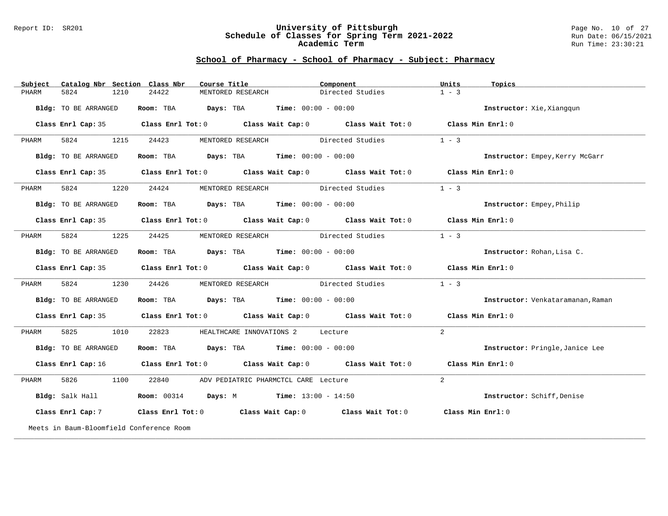#### Report ID: SR201 **University of Pittsburgh** Page No. 10 of 27 **Schedule of Classes for Spring Term 2021-2022** Run Date: 06/15/2021 **Academic Term** Run Time: 23:30:21

| Subject | Catalog Nbr Section Class Nbr            | Course Title                                                                 | Component                                                                                                                     | Units<br>Topics                   |
|---------|------------------------------------------|------------------------------------------------------------------------------|-------------------------------------------------------------------------------------------------------------------------------|-----------------------------------|
| PHARM   | 5824<br>1210                             | 24422<br>MENTORED RESEARCH                                                   | Directed Studies                                                                                                              | $1 - 3$                           |
|         | Bldg: TO BE ARRANGED                     | Room: TBA $Days:$ TBA $Time: 00:00 - 00:00$                                  |                                                                                                                               | Instructor: Xie, Xiangqun         |
|         |                                          |                                                                              | Class Enrl Cap: 35 Class Enrl Tot: 0 Class Wait Cap: 0 Class Wait Tot: 0 Class Min Enrl: 0                                    |                                   |
| PHARM   | 5824<br>1215                             | 24423                                                                        | MENTORED RESEARCH Directed Studies                                                                                            | $1 - 3$                           |
|         | Bldg: TO BE ARRANGED                     | Room: TBA Days: TBA Time: $00:00 - 00:00$                                    |                                                                                                                               | Instructor: Empey, Kerry McGarr   |
|         |                                          |                                                                              | Class Enrl Cap: 35 Class Enrl Tot: 0 Class Wait Cap: 0 Class Wait Tot: 0 Class Min Enrl: 0                                    |                                   |
| PHARM   | 5824<br>1220                             | 24424                                                                        | MENTORED RESEARCH Directed Studies                                                                                            | $1 - 3$                           |
|         | Bldg: TO BE ARRANGED                     | Room: TBA $Days:$ TBA $Time: 00:00 - 00:00$                                  |                                                                                                                               | <b>Instructor:</b> Empey, Philip  |
|         |                                          |                                                                              | Class Enrl Cap: 35 Class Enrl Tot: 0 Class Wait Cap: 0 Class Wait Tot: 0 Class Min Enrl: 0                                    |                                   |
| PHARM   | 5824<br>1225                             | 24425                                                                        | MENTORED RESEARCH Directed Studies                                                                                            | $1 - 3$                           |
|         | Bldg: TO BE ARRANGED                     | Room: TBA $Days:$ TBA $Time: 00:00 - 00:00$                                  |                                                                                                                               | Instructor: Rohan, Lisa C.        |
|         |                                          |                                                                              | Class Enrl Cap: 35 Class Enrl Tot: 0 Class Wait Cap: 0 Class Wait Tot: 0 Class Min Enrl: 0                                    |                                   |
| PHARM   | 5824<br>1230                             | 24426                                                                        | MENTORED RESEARCH Directed Studies                                                                                            | $1 - 3$                           |
|         | Bldg: TO BE ARRANGED                     | Room: TBA $Days:$ TBA $Time: 00:00 - 00:00$                                  |                                                                                                                               | Instructor: Venkataramanan, Raman |
|         |                                          |                                                                              | Class Enrl Cap: 35 Class Enrl Tot: 0 Class Wait Cap: 0 Class Wait Tot: 0 Class Min Enrl: 0                                    |                                   |
| PHARM   | 5825<br>1010                             | 22823                                                                        | HEALTHCARE INNOVATIONS 2 Lecture                                                                                              | 2                                 |
|         | Bldg: TO BE ARRANGED                     | Room: TBA $Days:$ TBA $Time: 00:00 - 00:00$                                  |                                                                                                                               | Instructor: Pringle, Janice Lee   |
|         |                                          |                                                                              | Class Enrl Cap: 16 $\qquad$ Class Enrl Tot: 0 $\qquad$ Class Wait Cap: 0 $\qquad$ Class Wait Tot: 0                           | Class Min Enrl: 0                 |
| PHARM   | 5826<br>1100                             | 22840                                                                        | ADV PEDIATRIC PHARMCTCL CARE Lecture                                                                                          | 2                                 |
|         |                                          | Bldg: Salk Hall <b>Room:</b> 00314 <b>Days:</b> M <b>Time:</b> 13:00 - 14:50 |                                                                                                                               | Instructor: Schiff, Denise        |
|         |                                          |                                                                              | Class Enrl Cap: 7 $\qquad$ Class Enrl Tot: 0 $\qquad$ Class Wait Cap: 0 $\qquad$ Class Wait Tot: 0 $\qquad$ Class Min Enrl: 0 |                                   |
|         | Meets in Baum-Bloomfield Conference Room |                                                                              |                                                                                                                               |                                   |
|         |                                          |                                                                              |                                                                                                                               |                                   |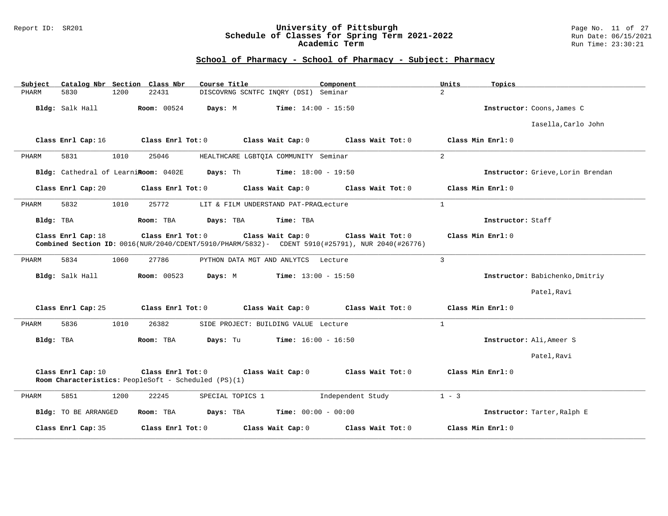### Report ID: SR201 **University of Pittsburgh** Page No. 11 of 27 **Schedule of Classes for Spring Term 2021-2022** Run Date: 06/15/2021 **Academic Term** Run Time: 23:30:21

| Catalog Nbr Section Class Nbr<br>Subject | Course Title                                                                                                                              | Component         | Units<br>Topics                   |
|------------------------------------------|-------------------------------------------------------------------------------------------------------------------------------------------|-------------------|-----------------------------------|
| PHARM<br>5830<br>1200                    | DISCOVRNG SCNTFC INQRY (DSI) Seminar<br>22431                                                                                             |                   | $\overline{2}$                    |
| Bldg: Salk Hall                          | Room: 00524<br><b>Time:</b> $14:00 - 15:50$<br>Days: M                                                                                    |                   | Instructor: Coons, James C        |
|                                          |                                                                                                                                           |                   | Iasella, Carlo John               |
| Class Enrl Cap: 16                       | Class Enrl Tot: 0<br>Class Wait Cap: 0                                                                                                    | Class Wait Tot: 0 | Class Min Enrl: 0                 |
| 5831<br>1010<br>PHARM                    | 25046<br>HEALTHCARE LGBTQIA COMMUNITY Seminar                                                                                             |                   | 2                                 |
| Bldg: Cathedral of LearniRoom: 0402E     | Days: Th<br><b>Time:</b> $18:00 - 19:50$                                                                                                  |                   | Instructor: Grieve, Lorin Brendan |
| Class Enrl Cap: 20                       | Class Enrl Tot: 0<br>Class Wait Cap: 0                                                                                                    | Class Wait Tot: 0 | Class Min Enrl: 0                 |
| 5832<br>1010<br>PHARM                    | 25772<br>LIT & FILM UNDERSTAND PAT-PRACLecture                                                                                            |                   | $\mathbf{1}$                      |
| Bldg: TBA                                | Room: TBA<br>Days: TBA<br>Time: TBA                                                                                                       |                   | Instructor: Staff                 |
| Class Enrl Cap: 18                       | Class Enrl Tot: 0<br>Class Wait Cap: 0<br>Combined Section ID: 0016(NUR/2040/CDENT/5910/PHARM/5832)- CDENT 5910(#25791), NUR 2040(#26776) | Class Wait Tot: 0 | Class Min Enrl: 0                 |
| 5834<br>PHARM<br>1060                    | 27786<br>PYTHON DATA MGT AND ANLYTCS Lecture                                                                                              |                   | 3                                 |
| Bldg: Salk Hall                          | <b>Room: 00523</b><br>Days: M<br><b>Time:</b> $13:00 - 15:50$                                                                             |                   | Instructor: Babichenko, Dmitriy   |
|                                          |                                                                                                                                           |                   | Patel, Ravi                       |
| Class Enrl Cap: 25                       | Class Enrl Tot: 0<br>Class Wait Cap: 0                                                                                                    | Class Wait Tot: 0 | Class Min Enrl: 0                 |
| 5836<br>1010<br>PHARM                    | 26382<br>SIDE PROJECT: BUILDING VALUE Lecture                                                                                             |                   | $\mathbf{1}$                      |
| Bldg: TBA                                | Room: TBA<br>Days: Tu<br><b>Time:</b> $16:00 - 16:50$                                                                                     |                   | Instructor: Ali, Ameer S          |
|                                          |                                                                                                                                           |                   | Patel, Ravi                       |
| Class Enrl Cap: 10                       | Class Enrl Tot: 0<br>Class Wait Cap: 0<br>Room Characteristics: PeopleSoft - Scheduled (PS)(1)                                            | Class Wait Tot: 0 | Class Min Enrl: 0                 |
| 5851<br>1200<br>PHARM                    | 22245<br>SPECIAL TOPICS 1                                                                                                                 | Independent Study | $1 - 3$                           |
| Bldg: TO BE ARRANGED                     | Room: TBA<br>Days: TBA<br><b>Time:</b> $00:00 - 00:00$                                                                                    |                   | Instructor: Tarter, Ralph E       |
| Class Enrl Cap: 35                       | Class Enrl Tot: 0<br>Class Wait Cap: 0                                                                                                    | Class Wait Tot: 0 | Class Min Enrl: 0                 |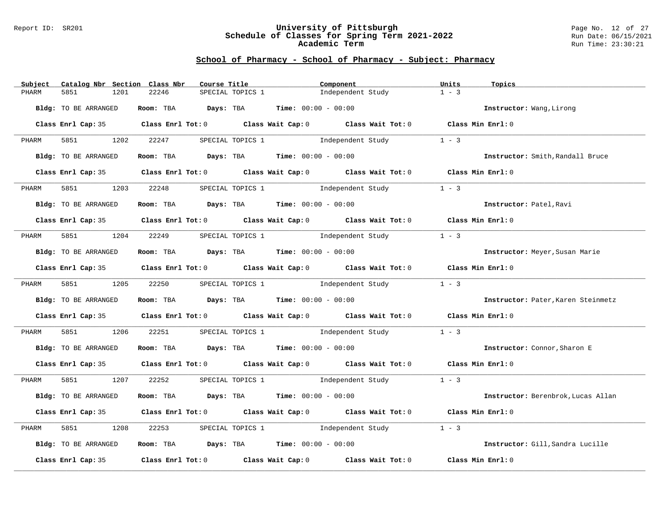#### Report ID: SR201 **University of Pittsburgh** Page No. 12 of 27 **Schedule of Classes for Spring Term 2021-2022** Run Date: 06/15/2021 **Academic Term** Run Time: 23:30:21

| Subject | Catalog Nbr Section Class Nbr | Course Title                                |                                      | Component                                                                                                                                                                                                                     | Units<br>Topics                    |  |
|---------|-------------------------------|---------------------------------------------|--------------------------------------|-------------------------------------------------------------------------------------------------------------------------------------------------------------------------------------------------------------------------------|------------------------------------|--|
| PHARM   | 5851<br>1201                  | 22246                                       | SPECIAL TOPICS 1                     | Independent Study                                                                                                                                                                                                             | $1 - 3$                            |  |
|         | Bldg: TO BE ARRANGED          | Room: TBA $Days:$ TBA $Time: 00:00 - 00:00$ |                                      |                                                                                                                                                                                                                               | Instructor: Wang, Lirong           |  |
|         |                               |                                             |                                      | Class Enrl Cap: 35 Class Enrl Tot: 0 Class Wait Cap: 0 Class Wait Tot: 0 Class Min Enrl: 0                                                                                                                                    |                                    |  |
| PHARM   | 5851 1202                     | 22247                                       |                                      | SPECIAL TOPICS 1 1 1 Independent Study                                                                                                                                                                                        | $1 - 3$                            |  |
|         | Bldg: TO BE ARRANGED          | Room: TBA $Days:$ TBA $Time: 00:00 - 00:00$ |                                      |                                                                                                                                                                                                                               | Instructor: Smith, Randall Bruce   |  |
|         |                               |                                             |                                      | Class Enrl Cap: 35 Class Enrl Tot: 0 Class Wait Cap: 0 Class Wait Tot: 0 Class Min Enrl: 0                                                                                                                                    |                                    |  |
| PHARM   | 5851<br>1203                  | 22248                                       |                                      | SPECIAL TOPICS 1 1 and independent Study                                                                                                                                                                                      | $1 - 3$                            |  |
|         | Bldg: TO BE ARRANGED          | Room: TBA $Days: TBA$ Time: $00:00 - 00:00$ |                                      |                                                                                                                                                                                                                               | Instructor: Patel, Ravi            |  |
|         |                               |                                             |                                      | Class Enrl Cap: 35 Class Enrl Tot: 0 Class Wait Cap: 0 Class Wait Tot: 0 Class Min Enrl: 0                                                                                                                                    |                                    |  |
| PHARM   | 5851 1204 22249               |                                             |                                      | SPECIAL TOPICS 1 5 Independent Study                                                                                                                                                                                          | $1 - 3$                            |  |
|         | Bldg: TO BE ARRANGED          | Room: TBA $Days:$ TBA $Time: 00:00 - 00:00$ |                                      |                                                                                                                                                                                                                               | Instructor: Meyer, Susan Marie     |  |
|         |                               |                                             |                                      | Class Enrl Cap: 35 Class Enrl Tot: 0 Class Wait Cap: 0 Class Wait Tot: 0 Class Min Enrl: 0                                                                                                                                    |                                    |  |
| PHARM   |                               |                                             |                                      | 5851 1205 22250 SPECIAL TOPICS 1 Independent Study                                                                                                                                                                            | $1 - 3$                            |  |
|         | Bldg: TO BE ARRANGED          | Room: TBA $Days:$ TBA $Time:$ 00:00 - 00:00 |                                      |                                                                                                                                                                                                                               | Instructor: Pater, Karen Steinmetz |  |
|         |                               |                                             |                                      | Class Enrl Cap: 35 Class Enrl Tot: 0 Class Wait Cap: 0 Class Wait Tot: 0 Class Min Enrl: 0                                                                                                                                    |                                    |  |
| PHARM   | 5851 7<br>1206                | 22251                                       |                                      | SPECIAL TOPICS 1 5 Independent Study                                                                                                                                                                                          | $1 - 3$                            |  |
|         | Bldg: TO BE ARRANGED          | Room: TBA $Days:$ TBA $Time: 00:00 - 00:00$ |                                      |                                                                                                                                                                                                                               | Instructor: Connor, Sharon E       |  |
|         |                               |                                             |                                      | Class Enrl Cap: 35 Class Enrl Tot: 0 Class Wait Cap: 0 Class Wait Tot: 0 Class Min Enrl: 0                                                                                                                                    |                                    |  |
| PHARM   | 5851 1207 22252               |                                             |                                      | SPECIAL TOPICS 1 1 1 1 1 1 1 1 1 1 1 1 1 2 3                                                                                                                                                                                  |                                    |  |
|         | Bldg: TO BE ARRANGED          | Room: TBA $Days:$ TBA $Time: 00:00 - 00:00$ |                                      |                                                                                                                                                                                                                               | Instructor: Berenbrok, Lucas Allan |  |
|         |                               |                                             |                                      | Class Enrl Cap: 35 Class Enrl Tot: 0 Class Wait Cap: 0 Class Wait Tot: 0 Class Min Enrl: 0                                                                                                                                    |                                    |  |
| PHARM   | 5851<br>1208                  | 22253                                       | SPECIAL TOPICS 1 1 Independent Study |                                                                                                                                                                                                                               | $1 - 3$                            |  |
|         | Bldg: TO BE ARRANGED          | Room: TBA $Days:$ TBA $Time: 00:00 - 00:00$ |                                      |                                                                                                                                                                                                                               | Instructor: Gill, Sandra Lucille   |  |
|         |                               |                                             |                                      | Class Enrl Cap: 35 $\,$ Class Enrl Tot: 0 $\,$ Class Wait Cap: 0 $\,$ Class Wait Tot: 0 $\,$ Class Enrl Tot: 0 $\,$ Class Enrl Tot: 0 $\,$ Class Enrl Tot: 0 $\,$ Class Enrl Tot: 0 $\,$ Class Enrl Tot: 0 $\,$ Class Enrl To | Class Min Enrl: 0                  |  |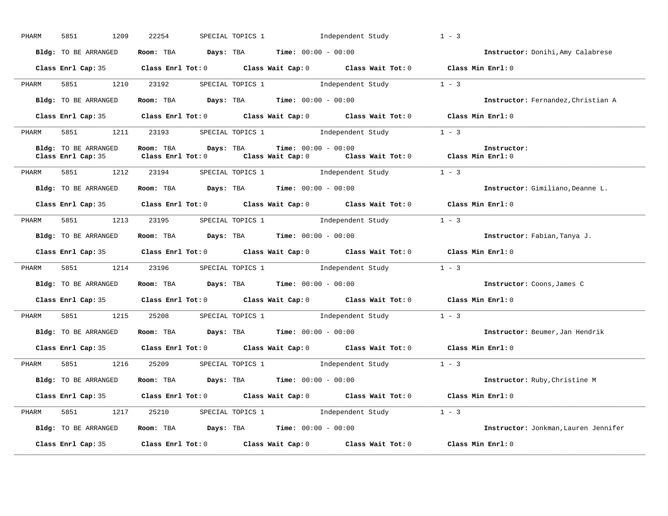| PHARM | 5851<br>1209                                                 | 22254 |  | SPECIAL TOPICS 1 1 Independent Study        |                                                                                                                            | $1 - 3$                              |
|-------|--------------------------------------------------------------|-------|--|---------------------------------------------|----------------------------------------------------------------------------------------------------------------------------|--------------------------------------|
|       | Bldg: TO BE ARRANGED                                         |       |  | Room: TBA $Days:$ TBA $Time: 00:00 - 00:00$ |                                                                                                                            | Instructor: Donihi, Amy Calabrese    |
|       |                                                              |       |  |                                             | Class Enrl Cap: 35 Class Enrl Tot: 0 Class Wait Cap: 0 Class Wait Tot: 0 Class Min Enrl: 0                                 |                                      |
| PHARM |                                                              |       |  |                                             | 5851 1210 23192 SPECIAL TOPICS 1 Independent Study 1 - 3                                                                   |                                      |
|       | Bldg: TO BE ARRANGED                                         |       |  | Room: TBA $Days:$ TBA $Time: 00:00 - 00:00$ |                                                                                                                            | Instructor: Fernandez, Christian A   |
|       |                                                              |       |  |                                             | Class Enrl Cap: 35 Class Enrl Tot: 0 Class Wait Cap: 0 Class Wait Tot: 0 Class Min Enrl: 0                                 |                                      |
| PHARM |                                                              |       |  |                                             | 5851 1211 23193 SPECIAL TOPICS 1 Independent Study 1 - 3                                                                   |                                      |
|       | Bldg: TO BE ARRANGED<br>Class Enrl Cap: 35                   |       |  | <b>Time:</b> $00:00 - 00:00$                | Room: TBA Days: TBA Time: $00:00 - 00:00$ Thetruct Class Enrl Tot: 0 Class Wait Cap: 0 Class Wait Tot: 0 Class Min Enrl: 0 | Instructor:                          |
| PHARM |                                                              |       |  |                                             | 5851 1212 23194 SPECIAL TOPICS 1 Independent Study 1 - 3                                                                   |                                      |
|       | Bldg: TO BE ARRANGED                                         |       |  | Room: TBA $Days:$ TBA $Time: 00:00 - 00:00$ |                                                                                                                            | Instructor: Gimiliano, Deanne L.     |
|       |                                                              |       |  |                                             | Class Enrl Cap: 35 Class Enrl Tot: 0 Class Wait Cap: 0 Class Wait Tot: 0 Class Min Enrl: 0                                 |                                      |
| PHARM |                                                              |       |  |                                             | 5851 1213 23195 SPECIAL TOPICS 1 Independent Study 1 - 3                                                                   |                                      |
|       | Bldg: TO BE ARRANGED Room: TBA Days: TBA Time: 00:00 - 00:00 |       |  |                                             |                                                                                                                            | Instructor: Fabian, Tanya J.         |
|       |                                                              |       |  |                                             |                                                                                                                            |                                      |
|       |                                                              |       |  |                                             | Class Enrl Cap: 35 Class Enrl Tot: 0 Class Wait Cap: 0 Class Wait Tot: 0 Class Min Enrl: 0                                 |                                      |
| PHARM |                                                              |       |  |                                             | 5851 1214 23196 SPECIAL TOPICS 1 Independent Study 1 - 3                                                                   |                                      |
|       | Bldg: TO BE ARRANGED                                         |       |  | Room: TBA $Days:$ TBA $Time: 00:00 - 00:00$ |                                                                                                                            | Instructor: Coons, James C           |
|       |                                                              |       |  |                                             | Class Enrl Cap: 35 Class Enrl Tot: 0 Class Wait Cap: 0 Class Wait Tot: 0 Class Min Enrl: 0                                 |                                      |
| PHARM |                                                              |       |  |                                             | 5851 1215 25208 SPECIAL TOPICS 1 Independent Study 1 - 3                                                                   |                                      |
|       | Bldg: TO BE ARRANGED                                         |       |  | Room: TBA $Days:$ TBA $Time: 00:00 - 00:00$ |                                                                                                                            | Instructor: Beumer, Jan Hendrik      |
|       |                                                              |       |  |                                             | Class Enrl Cap: 35 Class Enrl Tot: 0 Class Wait Cap: 0 Class Wait Tot: 0 Class Min Enrl: 0                                 |                                      |
| PHARM | 5851 1216 25209 SPECIAL TOPICS 1                             |       |  |                                             | Independent Study 1 - 3                                                                                                    |                                      |
|       | Bldg: TO BE ARRANGED                                         |       |  | Room: TBA $Days:$ TBA $Time: 00:00 - 00:00$ |                                                                                                                            | Instructor: Ruby, Christine M        |
|       |                                                              |       |  |                                             | Class Enrl Cap: 35 Class Enrl Tot: 0 Class Wait Cap: 0 Class Wait Tot: 0 Class Min Enrl: 0                                 |                                      |
| PHARM |                                                              |       |  |                                             | 5851 1217 25210 SPECIAL TOPICS 1 Independent Study 1 - 3                                                                   |                                      |
|       | Bldg: TO BE ARRANGED                                         |       |  | Room: TBA $Days:$ TBA $Time: 00:00 - 00:00$ |                                                                                                                            | Instructor: Jonkman, Lauren Jennifer |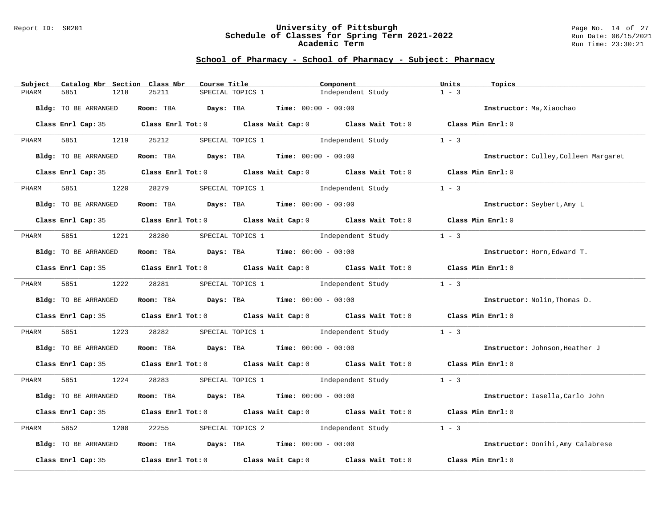#### Report ID: SR201 **University of Pittsburgh** Page No. 14 of 27 **Schedule of Classes for Spring Term 2021-2022** Run Date: 06/15/2021 **Academic Term** Run Time: 23:30:21

| Subject | Catalog Nbr Section Class Nbr |      |            | Course Title |                  |                                             | Component                                                                                                                                                                | Units   | Topics                               |
|---------|-------------------------------|------|------------|--------------|------------------|---------------------------------------------|--------------------------------------------------------------------------------------------------------------------------------------------------------------------------|---------|--------------------------------------|
| PHARM   | 5851                          | 1218 | 25211      |              | SPECIAL TOPICS 1 |                                             | Independent Study                                                                                                                                                        | $1 - 3$ |                                      |
|         | Bldg: TO BE ARRANGED          |      |            |              |                  | Room: TBA $Days:$ TBA $Time: 00:00 - 00:00$ |                                                                                                                                                                          |         | Instructor: Ma, Xiaochao             |
|         |                               |      |            |              |                  |                                             | Class Enrl Cap: 35 Class Enrl Tot: 0 Class Wait Cap: 0 Class Wait Tot: 0 Class Min Enrl: 0                                                                               |         |                                      |
| PHARM   | 5851 38                       | 1219 | 25212      |              |                  |                                             | SPECIAL TOPICS 1 1 1 Independent Study                                                                                                                                   | $1 - 3$ |                                      |
|         | Bldg: TO BE ARRANGED          |      |            |              |                  | Room: TBA $Days:$ TBA $Time: 00:00 - 00:00$ |                                                                                                                                                                          |         | Instructor: Culley, Colleen Margaret |
|         |                               |      |            |              |                  |                                             | Class Enrl Cap: 35 Class Enrl Tot: 0 Class Wait Cap: 0 Class Wait Tot: 0 Class Min Enrl: 0                                                                               |         |                                      |
| PHARM   | 5851                          | 1220 | 28279      |              |                  | SPECIAL TOPICS 1                            | Independent Study                                                                                                                                                        | $1 - 3$ |                                      |
|         | Bldg: TO BE ARRANGED          |      |            |              |                  | Room: TBA $Days: TBA$ Time: $00:00 - 00:00$ |                                                                                                                                                                          |         | Instructor: Seybert, Amy L           |
|         |                               |      |            |              |                  |                                             | Class Enrl Cap: 35 Class Enrl Tot: 0 Class Wait Cap: 0 Class Wait Tot: 0 Class Min Enrl: 0                                                                               |         |                                      |
| PHARM   | 5851 200                      |      | 1221 28280 |              |                  |                                             | SPECIAL TOPICS 1 1 and independent Study                                                                                                                                 | $1 - 3$ |                                      |
|         | Bldg: TO BE ARRANGED          |      |            |              |                  | Room: TBA $Days:$ TBA $Time: 00:00 - 00:00$ |                                                                                                                                                                          |         | Instructor: Horn, Edward T.          |
|         |                               |      |            |              |                  |                                             | Class Enrl Cap: 35 Class Enrl Tot: 0 Class Wait Cap: 0 Class Wait Tot: 0 Class Min Enrl: 0                                                                               |         |                                      |
| PHARM   | 5851 1222 28281               |      |            |              |                  |                                             | SPECIAL TOPICS 1 1 and independent Study 1 - 3                                                                                                                           |         |                                      |
|         | Bldg: TO BE ARRANGED          |      |            |              |                  | Room: TBA $Days:$ TBA $Time:$ 00:00 - 00:00 |                                                                                                                                                                          |         | Instructor: Nolin, Thomas D.         |
|         |                               |      |            |              |                  |                                             | Class Enrl Cap: 35 Class Enrl Tot: 0 Class Wait Cap: 0 Class Wait Tot: 0 Class Min Enrl: 0                                                                               |         |                                      |
| PHARM   | 5851                          | 1223 | 28282      |              |                  |                                             | SPECIAL TOPICS 1 1 and independent Study                                                                                                                                 | $1 - 3$ |                                      |
|         | Bldg: TO BE ARRANGED          |      |            |              |                  | Room: TBA $Days:$ TBA $Time: 00:00 - 00:00$ |                                                                                                                                                                          |         | Instructor: Johnson, Heather J       |
|         |                               |      |            |              |                  |                                             | Class Enrl Cap: 35 Class Enrl Tot: 0 Class Wait Cap: 0 Class Wait Tot: 0 Class Min Enrl: 0                                                                               |         |                                      |
| PHARM   | 5851                          | 1224 | 28283      |              |                  |                                             | $SPECTAL\hskip1.5cm\textbf{TOPICS}\hskip1.5cm 1\hskip1.5cm\textbf{Independent}\hskip1.5cm \text{Student}\hskip1.5cm \text{Study}\hskip1.5cm 1\hskip1.5cm -\hskip1.5cm 3$ |         |                                      |
|         | Bldg: TO BE ARRANGED          |      |            |              |                  | Room: TBA $Days:$ TBA $Time: 00:00 - 00:00$ |                                                                                                                                                                          |         | Instructor: Iasella, Carlo John      |
|         |                               |      |            |              |                  |                                             | Class Enrl Cap: 35 Class Enrl Tot: 0 Class Wait Cap: 0 Class Wait Tot: 0 Class Min Enrl: 0                                                                               |         |                                      |
| PHARM   | 5852                          | 1200 | 22255      |              |                  |                                             | SPECIAL TOPICS 2 1ndependent Study                                                                                                                                       | $1 - 3$ |                                      |
|         | Bldg: TO BE ARRANGED          |      |            |              |                  | Room: TBA $Days:$ TBA $Time: 00:00 - 00:00$ |                                                                                                                                                                          |         | Instructor: Donihi, Amy Calabrese    |
|         | Class Enrl Cap: 35            |      |            |              |                  |                                             | Class Enrl Tot: $0$ Class Wait Cap: $0$ Class Wait Tot: $0$                                                                                                              |         | Class Min Enrl: 0                    |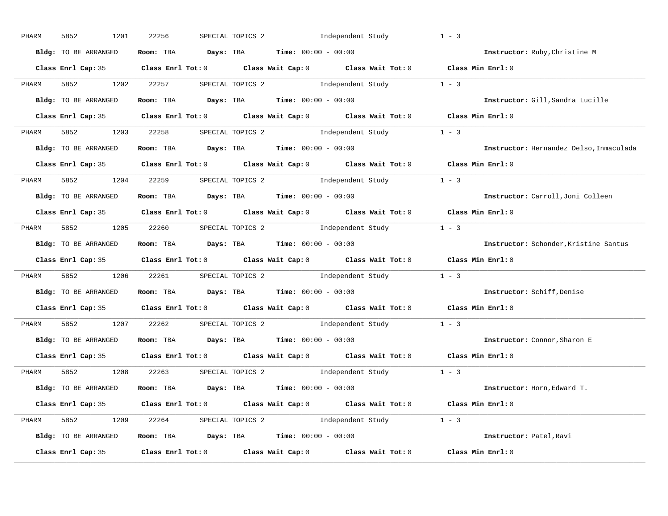| PHARM | 5852<br>1201         | 22256 | SPECIAL TOPICS 2 1ndependent Study                                                         | $1 - 3$                                 |
|-------|----------------------|-------|--------------------------------------------------------------------------------------------|-----------------------------------------|
|       | Bldg: TO BE ARRANGED |       | Room: TBA $Days:$ TBA $Time: 00:00 - 00:00$                                                | Instructor: Ruby, Christine M           |
|       |                      |       | Class Enrl Cap: 35 Class Enrl Tot: 0 Class Wait Cap: 0 Class Wait Tot: 0 Class Min Enrl: 0 |                                         |
| PHARM | 5852 1202 22257      |       | SPECIAL TOPICS 2 1 and independent Study 1 - 3                                             |                                         |
|       | Bldg: TO BE ARRANGED |       | Room: TBA $Days:$ TBA Time: $00:00 - 00:00$                                                | Instructor: Gill, Sandra Lucille        |
|       |                      |       | Class Enrl Cap: 35 Class Enrl Tot: 0 Class Wait Cap: 0 Class Wait Tot: 0 Class Min Enrl: 0 |                                         |
|       |                      |       | PHARM 5852 1203 22258 SPECIAL TOPICS 2 Independent Study 1 - 3                             |                                         |
|       | Bldg: TO BE ARRANGED |       | Room: TBA $Days:$ TBA $Time: 00:00 - 00:00$                                                | Instructor: Hernandez Delso, Inmaculada |
|       |                      |       | Class Enrl Cap: 35 Class Enrl Tot: 0 Class Wait Cap: 0 Class Wait Tot: 0 Class Min Enrl: 0 |                                         |
| PHARM |                      |       | 5852 1204 22259 SPECIAL TOPICS 2 Independent Study 1 - 3                                   |                                         |
|       | Bldg: TO BE ARRANGED |       | Room: TBA $Days:$ TBA $Time: 00:00 - 00:00$                                                | Instructor: Carroll, Joni Colleen       |
|       |                      |       | Class Enrl Cap: 35 Class Enrl Tot: 0 Class Wait Cap: 0 Class Wait Tot: 0 Class Min Enrl: 0 |                                         |
| PHARM |                      |       | 5852 1205 22260 SPECIAL TOPICS 2 Independent Study 1 - 3                                   |                                         |
|       | Bldg: TO BE ARRANGED |       | Room: TBA $Days:$ TBA $Time:$ $00:00 - 00:00$                                              | Instructor: Schonder, Kristine Santus   |
|       |                      |       | Class Enrl Cap: 35 Class Enrl Tot: 0 Class Wait Cap: 0 Class Wait Tot: 0 Class Min Enrl: 0 |                                         |
| PHARM |                      |       | 5852 1206 22261 SPECIAL TOPICS 2 Independent Study 1 - 3                                   |                                         |
|       | Bldg: TO BE ARRANGED |       | Room: TBA $Days:$ TBA $Time: 00:00 - 00:00$                                                | Instructor: Schiff, Denise              |
|       |                      |       | Class Enrl Cap: 35 Class Enrl Tot: 0 Class Wait Cap: 0 Class Wait Tot: 0 Class Min Enrl: 0 |                                         |
| PHARM |                      |       | 5852 1207 22262 SPECIAL TOPICS 2 Independent Study 1 - 3                                   |                                         |
|       | Bldg: TO BE ARRANGED |       | Room: TBA $Days: TBA$ Time: $00:00 - 00:00$                                                | Instructor: Connor, Sharon E            |
|       |                      |       | Class Enrl Cap: 35 Class Enrl Tot: 0 Class Wait Cap: 0 Class Wait Tot: 0                   | Class Min Enrl: 0                       |
|       |                      |       | PHARM 5852 1208 22263 SPECIAL TOPICS 2 Independent Study 1 - 3                             |                                         |
|       | Bldg: TO BE ARRANGED |       | Room: TBA $Days:$ TBA $Time: 00:00 - 00:00$                                                | Instructor: Horn, Edward T.             |
|       |                      |       | Class Enrl Cap: 35 Class Enrl Tot: 0 Class Wait Cap: 0 Class Wait Tot: 0 Class Min Enrl: 0 |                                         |
|       |                      |       | PHARM 5852 1209 22264 SPECIAL TOPICS 2 Independent Study 1 - 3                             |                                         |
|       | Bldg: TO BE ARRANGED |       | Room: TBA $Days:$ TBA $Time: 00:00 - 00:00$                                                | Instructor: Patel, Ravi                 |
|       | Class Enrl Cap: 35   |       | Class Enrl Tot: $0$ Class Wait Cap: $0$ Class Wait Tot: $0$ Class Min Enrl: $0$            |                                         |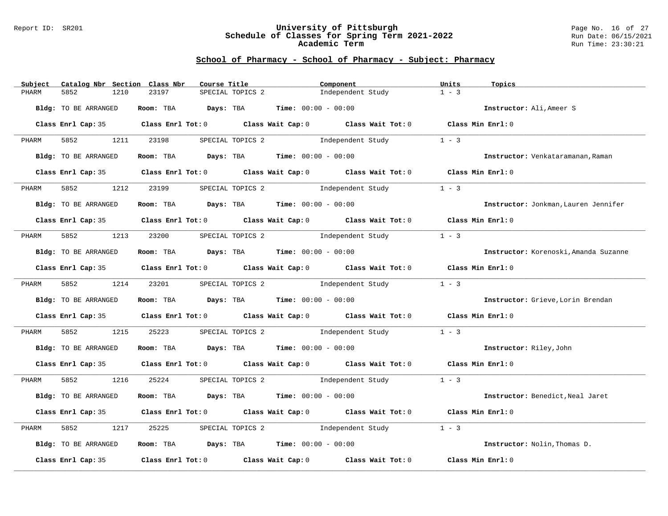#### Report ID: SR201 **University of Pittsburgh** Page No. 16 of 27 **Schedule of Classes for Spring Term 2021-2022** Run Date: 06/15/2021 **Academic Term** Run Time: 23:30:21

| Subject | Catalog Nbr Section Class Nbr | Course Title                                |                                    | Component                                                                                  | Units<br>Topics              |                                       |
|---------|-------------------------------|---------------------------------------------|------------------------------------|--------------------------------------------------------------------------------------------|------------------------------|---------------------------------------|
| PHARM   | 5852<br>1210                  | 23197                                       | SPECIAL TOPICS 2                   | Independent Study                                                                          | $1 - 3$                      |                                       |
|         | Bldg: TO BE ARRANGED          | Room: TBA $Days:$ TBA $Time: 00:00 - 00:00$ |                                    |                                                                                            | Instructor: Ali.Ameer S      |                                       |
|         |                               |                                             |                                    | Class Enrl Cap: 35 Class Enrl Tot: 0 Class Wait Cap: 0 Class Wait Tot: 0 Class Min Enrl: 0 |                              |                                       |
| PHARM   | 5852                          | 1211 23198                                  |                                    | SPECIAL TOPICS 2 1ndependent Study                                                         | $1 - 3$                      |                                       |
|         | Bldg: TO BE ARRANGED          | Room: TBA $Days:$ TBA $Time: 00:00 - 00:00$ |                                    |                                                                                            |                              | Instructor: Venkataramanan, Raman     |
|         | Class Enrl Cap: 35            |                                             |                                    | Class Enrl Tot: 0 Class Wait Cap: 0 Class Wait Tot: 0                                      | Class Min Enrl: 0            |                                       |
| PHARM   | 5852<br>1212                  | 23199                                       | SPECIAL TOPICS 2 1ndependent Study |                                                                                            | $1 - 3$                      |                                       |
|         | Bldg: TO BE ARRANGED          | Room: TBA $Days: TBA$ Time: $00:00 - 00:00$ |                                    |                                                                                            |                              | Instructor: Jonkman, Lauren Jennifer  |
|         |                               |                                             |                                    | Class Enrl Cap: 35 Class Enrl Tot: 0 Class Wait Cap: 0 Class Wait Tot: 0 Class Min Enrl: 0 |                              |                                       |
| PHARM   | 5852 1213 23200               |                                             | SPECIAL TOPICS 2 1ndependent Study |                                                                                            | $1 - 3$                      |                                       |
|         | Bldg: TO BE ARRANGED          | Room: TBA $Days:$ TBA $Time: 00:00 - 00:00$ |                                    |                                                                                            |                              | Instructor: Korenoski, Amanda Suzanne |
|         |                               |                                             |                                    | Class Enrl Cap: 35 Class Enrl Tot: 0 Class Wait Cap: 0 Class Wait Tot: 0 Class Min Enrl: 0 |                              |                                       |
| PHARM   | 5852 1214 23201               |                                             |                                    | SPECIAL TOPICS 2 1ndependent Study                                                         | $1 - 3$                      |                                       |
|         | Bldg: TO BE ARRANGED          | Room: TBA $Days:$ TBA $Time: 00:00 - 00:00$ |                                    |                                                                                            |                              | Instructor: Grieve, Lorin Brendan     |
|         |                               |                                             |                                    | Class Enrl Cap: 35 Class Enrl Tot: 0 Class Wait Cap: 0 Class Wait Tot: 0 Class Min Enrl: 0 |                              |                                       |
| PHARM   | 5852<br>1215                  | 25223                                       |                                    | SPECIAL TOPICS 2 1ndependent Study                                                         | $1 - 3$                      |                                       |
|         | Bldg: TO BE ARRANGED          | Room: TBA $Days:$ TBA Time: $00:00 - 00:00$ |                                    |                                                                                            | Instructor: Riley, John      |                                       |
|         |                               |                                             |                                    | Class Enrl Cap: 35 Class Enrl Tot: 0 Class Wait Cap: 0 Class Wait Tot: 0 Class Min Enrl: 0 |                              |                                       |
| PHARM   | 5852 1216                     | 25224                                       |                                    | SPECIAL TOPICS 2 1 and independent Study 1 - 3                                             |                              |                                       |
|         | Bldg: TO BE ARRANGED          | Room: TBA $Days:$ TBA $Time: 00:00 - 00:00$ |                                    |                                                                                            |                              | Instructor: Benedict, Neal Jaret      |
|         |                               |                                             |                                    | Class Enrl Cap: 35 Class Enrl Tot: 0 Class Wait Cap: 0 Class Wait Tot: 0                   | Class Min Enrl: 0            |                                       |
| PHARM   | 5852<br>1217                  | 25225                                       | SPECIAL TOPICS 2 1ndependent Study |                                                                                            | $1 - 3$                      |                                       |
|         | Bldg: TO BE ARRANGED          | Room: TBA $Days:$ TBA $Time: 00:00 - 00:00$ |                                    |                                                                                            | Instructor: Nolin, Thomas D. |                                       |
|         | Class Enrl Cap: 35            |                                             |                                    | Class Enrl Tot: $0$ Class Wait Cap: $0$ Class Wait Tot: $0$                                | Class Min Enrl: 0            |                                       |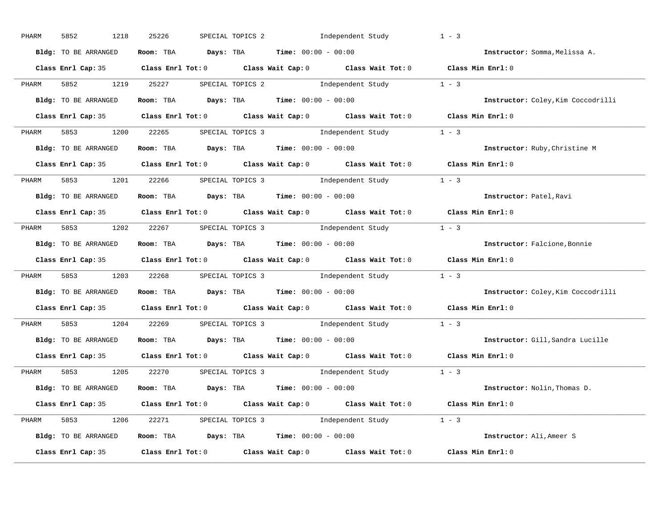| PHARM              | 5852<br>1218         | 25226 | SPECIAL TOPICS 2 1ndependent Study                                                                  | $1 - 3$                            |
|--------------------|----------------------|-------|-----------------------------------------------------------------------------------------------------|------------------------------------|
|                    | Bldg: TO BE ARRANGED |       | Room: TBA $Days:$ TBA $Time: 00:00 - 00:00$                                                         | Instructor: Somma, Melissa A.      |
|                    |                      |       | Class Enrl Cap: 35 Class Enrl Tot: 0 Class Wait Cap: 0 Class Wait Tot: 0 Class Min Enrl: 0          |                                    |
| PHARM              | 5852 1219 25227      |       | SPECIAL TOPICS 2 1 and independent Study 1 - 3                                                      |                                    |
|                    | Bldg: TO BE ARRANGED |       | Room: TBA $\rule{1em}{0.15mm}$ Days: TBA Time: $00:00 - 00:00$                                      | Instructor: Coley, Kim Coccodrilli |
|                    |                      |       | Class Enrl Cap: 35 Class Enrl Tot: 0 Class Wait Cap: 0 Class Wait Tot: 0 Class Min Enrl: 0          |                                    |
| PHARM              |                      |       | 5853 1200 22265 SPECIAL TOPICS 3 Independent Study 1 - 3                                            |                                    |
|                    | Bldg: TO BE ARRANGED |       | Room: TBA $Days:$ TBA $Time: 00:00 - 00:00$                                                         | Instructor: Ruby, Christine M      |
|                    |                      |       | Class Enrl Cap: 35 Class Enrl Tot: 0 Class Wait Cap: 0 Class Wait Tot: 0 Class Min Enrl: 0          |                                    |
| PHARM              |                      |       | 5853 1201 22266 SPECIAL TOPICS 3 Independent Study 1 - 3                                            |                                    |
|                    | Bldg: TO BE ARRANGED |       | Room: TBA $\rule{1em}{0.15mm}$ Days: TBA $\rule{1.5mm}{0.15mm}$ Time: $00:00 - 00:00$               | Instructor: Patel, Ravi            |
|                    |                      |       | Class Enrl Cap: 35 Class Enrl Tot: 0 Class Wait Cap: 0 Class Wait Tot: 0 Class Min Enrl: 0          |                                    |
| PHARM              |                      |       | 5853 1202 22267 SPECIAL TOPICS 3 Independent Study 1 - 3                                            |                                    |
|                    | Bldg: TO BE ARRANGED |       | Room: TBA $\rule{1em}{0.15mm}$ Days: TBA $\rule{1.5mm}{0.15mm}$ Time: $00:00 - 00:00$               | Instructor: Falcione, Bonnie       |
|                    |                      |       | Class Enrl Cap: 35 Class Enrl Tot: 0 Class Wait Cap: 0 Class Wait Tot: 0 Class Min Enrl: 0          |                                    |
| PHARM              |                      |       | 5853 1203 22268 SPECIAL TOPICS 3 Independent Study 1 - 3                                            |                                    |
|                    | Bldg: TO BE ARRANGED |       | Room: TBA $Days:$ TBA Time: $00:00 - 00:00$                                                         | Instructor: Coley, Kim Coccodrilli |
|                    |                      |       | Class Enrl Cap: 35 $\qquad$ Class Enrl Tot: 0 $\qquad$ Class Wait Cap: 0 $\qquad$ Class Wait Tot: 0 | Class Min Enrl: 0                  |
| PHARM              |                      |       | 5853 1204 22269 SPECIAL TOPICS 3 Independent Study 1 - 3                                            |                                    |
|                    | Bldg: TO BE ARRANGED |       | Room: TBA $Days:$ TBA $Time: 00:00 - 00:00$                                                         | Instructor: Gill, Sandra Lucille   |
|                    |                      |       | Class Enrl Cap: 35 Class Enrl Tot: 0 Class Wait Cap: 0 Class Wait Tot: 0                            | Class Min Enrl: 0                  |
| PHARM              |                      |       | 5853 1205 22270 SPECIAL TOPICS 3 Independent Study 1 - 3                                            |                                    |
|                    | Bldg: TO BE ARRANGED |       | Room: TBA $\rule{1em}{0.15mm}$ Days: TBA Time: $00:00 - 00:00$                                      | Instructor: Nolin, Thomas D.       |
|                    |                      |       | Class Enrl Cap: 35 Class Enrl Tot: 0 Class Wait Cap: 0 Class Wait Tot: 0 Class Min Enrl: 0          |                                    |
| PHARM              |                      |       | 5853 1206 22271 SPECIAL TOPICS 3 Independent Study 1 - 3                                            |                                    |
|                    | Bldg: TO BE ARRANGED |       | Room: TBA $Days:$ TBA $Time: 00:00 - 00:00$                                                         | Instructor: Ali, Ameer S           |
| Class Enrl Cap: 35 |                      |       | Class Enrl Tot: $0$ Class Wait Cap: $0$ Class Wait Tot: $0$                                         | Class Min Enrl: 0                  |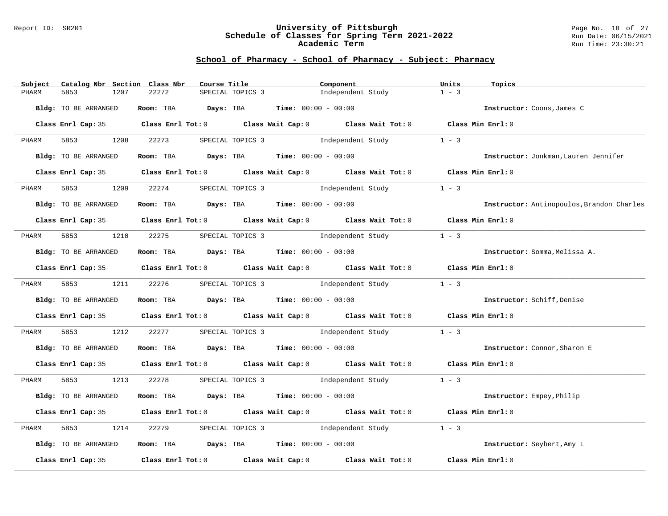#### Report ID: SR201 **University of Pittsburgh** Page No. 18 of 27 **Schedule of Classes for Spring Term 2021-2022** Run Date: 06/15/2021 **Academic Term** Run Time: 23:30:21

| Subject | Catalog Nbr Section Class Nbr | Course Title                                |                                    | Component                                                                                           | Units<br>Topics                           |  |
|---------|-------------------------------|---------------------------------------------|------------------------------------|-----------------------------------------------------------------------------------------------------|-------------------------------------------|--|
| PHARM   | 5853<br>1207                  | 22272                                       | SPECIAL TOPICS 3                   | Independent Study                                                                                   | $1 - 3$                                   |  |
|         | Bldg: TO BE ARRANGED          | Room: TBA $Days:$ TBA $Time: 00:00 - 00:00$ |                                    |                                                                                                     | Instructor: Coons, James C                |  |
|         |                               |                                             |                                    | Class Enrl Cap: 35 Class Enrl Tot: 0 Class Wait Cap: 0 Class Wait Tot: 0 Class Min Enrl: 0          |                                           |  |
| PHARM   | 5853 3<br>1208                | 22273                                       |                                    | SPECIAL TOPICS 3 1ndependent Study                                                                  | $1 - 3$                                   |  |
|         | Bldg: TO BE ARRANGED          | Room: TBA $Days:$ TBA $Time: 00:00 - 00:00$ |                                    |                                                                                                     | Instructor: Jonkman, Lauren Jennifer      |  |
|         |                               |                                             |                                    | Class Enrl Cap: 35 Class Enrl Tot: 0 Class Wait Cap: 0 Class Wait Tot: 0 Class Min Enrl: 0          |                                           |  |
| PHARM   | 5853<br>1209                  | 22274                                       | SPECIAL TOPICS 3                   | Independent Study                                                                                   | $1 - 3$                                   |  |
|         | Bldg: TO BE ARRANGED          | Room: TBA $Days: TBA$ Time: $00:00 - 00:00$ |                                    |                                                                                                     | Instructor: Antinopoulos, Brandon Charles |  |
|         |                               |                                             |                                    | Class Enrl Cap: 35 Class Enrl Tot: 0 Class Wait Cap: 0 Class Wait Tot: 0 Class Min Enrl: 0          |                                           |  |
| PHARM   | 1210                          | 22275                                       |                                    | SPECIAL TOPICS 3 and independent Study                                                              | $1 - 3$                                   |  |
|         | Bldg: TO BE ARRANGED          | Room: TBA $Days:$ TBA $Time:$ 00:00 - 00:00 |                                    |                                                                                                     | Instructor: Somma, Melissa A.             |  |
|         |                               |                                             |                                    | Class Enrl Cap: 35 Class Enrl Tot: 0 Class Wait Cap: 0 Class Wait Tot: 0 Class Min Enrl: 0          |                                           |  |
| PHARM   |                               |                                             |                                    | 5853 1211 22276 SPECIAL TOPICS 3 Independent Study                                                  | $1 - 3$                                   |  |
|         | Bldg: TO BE ARRANGED          | Room: TBA $Days:$ TBA $Time:$ 00:00 - 00:00 |                                    |                                                                                                     | Instructor: Schiff, Denise                |  |
|         |                               |                                             |                                    | Class Enrl Cap: 35 Class Enrl Tot: 0 Class Wait Cap: 0 Class Wait Tot: 0 Class Min Enrl: 0          |                                           |  |
| PHARM   | 1212                          | 22277                                       |                                    | SPECIAL TOPICS 3 1ndependent Study                                                                  | $1 - 3$                                   |  |
|         | Bldg: TO BE ARRANGED          | Room: TBA $Days:$ TBA $Time: 00:00 - 00:00$ |                                    |                                                                                                     | Instructor: Connor, Sharon E              |  |
|         |                               |                                             |                                    | Class Enrl Cap: 35 Class Enrl Tot: 0 Class Wait Cap: 0 Class Wait Tot: 0 Class Min Enrl: 0          |                                           |  |
| PHARM   |                               |                                             |                                    | 5853 1213 22278 SPECIAL TOPICS 3 Independent Study 1 - 3                                            |                                           |  |
|         | Bldg: TO BE ARRANGED          | Room: TBA $Days:$ TBA $Time: 00:00 - 00:00$ |                                    |                                                                                                     | Instructor: Empey, Philip                 |  |
|         |                               |                                             |                                    | Class Enrl Cap: 35 Class Enrl Tot: 0 Class Wait Cap: 0 Class Wait Tot: 0 Class Min Enrl: 0          |                                           |  |
| PHARM   | 5853<br>1214                  | 22279                                       | SPECIAL TOPICS 3 1ndependent Study |                                                                                                     | $1 - 3$                                   |  |
|         | Bldg: TO BE ARRANGED          | Room: TBA $Days:$ TBA $Time: 00:00 - 00:00$ |                                    |                                                                                                     | Instructor: Seybert, Amy L                |  |
|         |                               |                                             |                                    | Class Enrl Cap: 35 $\qquad$ Class Enrl Tot: 0 $\qquad$ Class Wait Cap: 0 $\qquad$ Class Wait Tot: 0 | Class Min Enrl: 0                         |  |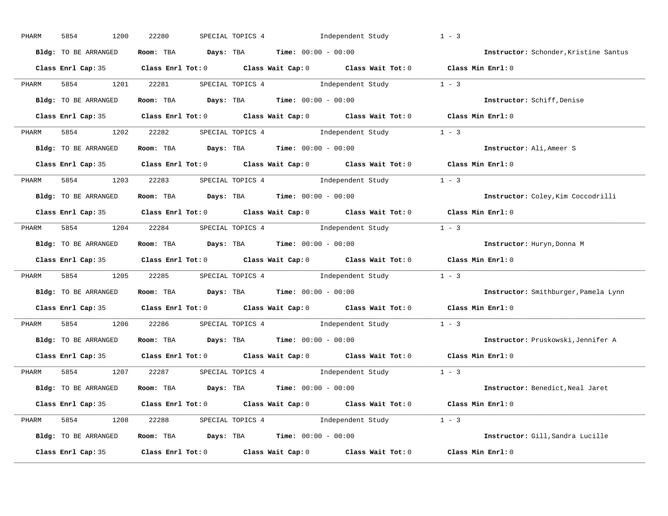| PHARM | 5854<br>1200         | 22280 | SPECIAL TOPICS 4 1ndependent Study                                                                  | $1 - 3$                               |
|-------|----------------------|-------|-----------------------------------------------------------------------------------------------------|---------------------------------------|
|       | Bldg: TO BE ARRANGED |       | Room: TBA $Days:$ TBA $Time: 00:00 - 00:00$                                                         | Instructor: Schonder, Kristine Santus |
|       |                      |       | Class Enrl Cap: 35 Class Enrl Tot: 0 Class Wait Cap: 0 Class Wait Tot: 0 Class Min Enrl: 0          |                                       |
| PHARM | 5854 1201 22281      |       | SPECIAL TOPICS 4 1 1 1 1 1 1 2 1 2 2 1 2 3                                                          |                                       |
|       | Bldg: TO BE ARRANGED |       | Room: TBA $Days:$ TBA Time: $00:00 - 00:00$                                                         | Instructor: Schiff, Denise            |
|       |                      |       | Class Enrl Cap: 35 Class Enrl Tot: 0 Class Wait Cap: 0 Class Wait Tot: 0 Class Min Enrl: 0          |                                       |
|       |                      |       | PHARM 5854 1202 22282 SPECIAL TOPICS 4 Independent Study 1 - 3                                      |                                       |
|       | Bldg: TO BE ARRANGED |       | Room: TBA $Days:$ TBA $Time: 00:00 - 00:00$                                                         | Instructor: Ali, Ameer S              |
|       |                      |       | Class Enrl Cap: 35 Class Enrl Tot: 0 Class Wait Cap: 0 Class Wait Tot: 0 Class Min Enrl: 0          |                                       |
| PHARM |                      |       | 5854 1203 22283 SPECIAL TOPICS 4 Independent Study 1 - 3                                            |                                       |
|       | Bldg: TO BE ARRANGED |       | Room: TBA $Days:$ TBA $Time: 00:00 - 00:00$                                                         | Instructor: Coley, Kim Coccodrilli    |
|       |                      |       | Class Enrl Cap: 35 Class Enrl Tot: 0 Class Wait Cap: 0 Class Wait Tot: 0 Class Min Enrl: 0          |                                       |
| PHARM |                      |       | 5854 1204 22284 SPECIAL TOPICS 4 Independent Study 1 - 3                                            |                                       |
|       | Bldg: TO BE ARRANGED |       | Room: TBA $Days:$ TBA $Time: 00:00 - 00:00$                                                         | Instructor: Huryn, Donna M            |
|       |                      |       | Class Enrl Cap: 35 Class Enrl Tot: 0 Class Wait Cap: 0 Class Wait Tot: 0 Class Min Enrl: 0          |                                       |
| PHARM |                      |       | 5854 1205 22285 SPECIAL TOPICS 4 Independent Study 1 - 3                                            |                                       |
|       | Bldg: TO BE ARRANGED |       | Room: TBA $Days:$ TBA $Time: 00:00 - 00:00$                                                         | Instructor: Smithburger, Pamela Lynn  |
|       |                      |       | Class Enrl Cap: 35 $\qquad$ Class Enrl Tot: 0 $\qquad$ Class Wait Cap: 0 $\qquad$ Class Wait Tot: 0 | Class Min Enrl: 0                     |
| PHARM |                      |       | 5854 1206 22286 SPECIAL TOPICS 4 Independent Study 1 - 3                                            |                                       |
|       | Bldg: TO BE ARRANGED |       | Room: TBA $Days:$ TBA $Time: 00:00 - 00:00$                                                         | Instructor: Pruskowski, Jennifer A    |
|       | Class Enrl Cap: 35   |       | Class Enrl Tot: $0$ Class Wait Cap: $0$ Class Wait Tot: $0$                                         | Class Min Enrl: 0                     |
| PHARM |                      |       | 5854 1207 22287 SPECIAL TOPICS 4 Independent Study 1 - 3                                            |                                       |
|       | Bldg: TO BE ARRANGED |       | Room: TBA $Days:$ TBA $Time: 00:00 - 00:00$                                                         | Instructor: Benedict, Neal Jaret      |
|       |                      |       | Class Enrl Cap: 35 Class Enrl Tot: 0 Class Wait Cap: 0 Class Wait Tot: 0 Class Min Enrl: 0          |                                       |
|       |                      |       | PHARM 5854 1208 22288 SPECIAL TOPICS 4 Independent Study 1 - 3                                      |                                       |
|       | Bldg: TO BE ARRANGED |       | Room: TBA $Days:$ TBA $Time: 00:00 - 00:00$                                                         | Instructor: Gill, Sandra Lucille      |
|       | Class Enrl Cap: 35   |       | Class Enrl Tot: $0$ Class Wait Cap: $0$ Class Wait Tot: $0$                                         | Class Min Enrl: 0                     |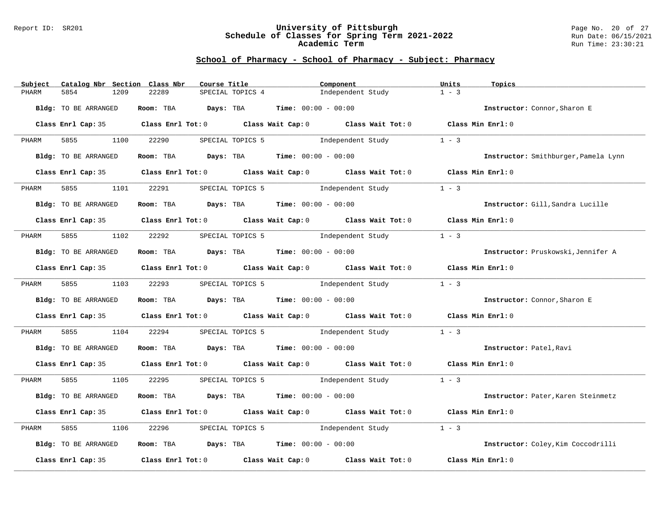#### Report ID: SR201 **University of Pittsburgh** Page No. 20 of 27 **Schedule of Classes for Spring Term 2021-2022** Run Date: 06/15/2021 **Academic Term** Run Time: 23:30:21

| Subject | Catalog Nbr Section Class Nbr | Course Title |                                             | Component                                                                                          | Units<br>Topics                      |
|---------|-------------------------------|--------------|---------------------------------------------|----------------------------------------------------------------------------------------------------|--------------------------------------|
| PHARM   | 5854<br>1209                  | 22289        | SPECIAL TOPICS 4                            | Independent Study                                                                                  | $1 - 3$                              |
|         | Bldg: TO BE ARRANGED          |              | Room: TBA $Days: TBA$ Time: $00:00 - 00:00$ |                                                                                                    | Instructor: Connor, Sharon E         |
|         |                               |              |                                             | Class Enrl Cap: 35 Class Enrl Tot: 0 Class Wait Cap: 0 Class Wait Tot: 0 Class Min Enrl: 0         |                                      |
| PHARM   | 5855<br>1100                  | 22290        |                                             | SPECIAL TOPICS 5 1ndependent Study                                                                 | $1 - 3$                              |
|         | Bldg: TO BE ARRANGED          |              | Room: TBA $Days:$ TBA $Time: 00:00 - 00:00$ |                                                                                                    | Instructor: Smithburger, Pamela Lynn |
|         | Class Enrl Cap: 35            |              |                                             | Class Enrl Tot: 0 $\qquad$ Class Wait Cap: 0 $\qquad$ Class Wait Tot: 0 $\qquad$ Class Min Enrl: 0 |                                      |
| PHARM   | 5855<br>1101                  | 22291        | SPECIAL TOPICS 5                            | Independent Study                                                                                  | $1 - 3$                              |
|         | Bldg: TO BE ARRANGED          |              | Room: TBA $Days: TBA$ Time: $00:00 - 00:00$ |                                                                                                    | Instructor: Gill, Sandra Lucille     |
|         |                               |              |                                             | Class Enrl Cap: 35 Class Enrl Tot: 0 Class Wait Cap: 0 Class Wait Tot: 0 Class Min Enrl: 0         |                                      |
| PHARM   | 5855 1102 22292               |              | SPECIAL TOPICS 5 1ndependent Study          |                                                                                                    | $1 - 3$                              |
|         | Bldg: TO BE ARRANGED          |              | Room: TBA $Days:$ TBA $Time: 00:00 - 00:00$ |                                                                                                    | Instructor: Pruskowski, Jennifer A   |
|         |                               |              |                                             | Class Enrl Cap: 35 Class Enrl Tot: 0 Class Wait Cap: 0 Class Wait Tot: 0 Class Min Enrl: 0         |                                      |
| PHARM   | 5855 1103 22293               |              | SPECIAL TOPICS 5 1ndependent Study          |                                                                                                    | $1 - 3$                              |
|         | Bldg: TO BE ARRANGED          |              | Room: TBA $Days:$ TBA $Time: 00:00 - 00:00$ |                                                                                                    | Instructor: Connor, Sharon E         |
|         |                               |              |                                             | Class Enrl Cap: 35 Class Enrl Tot: 0 Class Wait Cap: 0 Class Wait Tot: 0 Class Min Enrl: 0         |                                      |
| PHARM   | 5855 788<br>1104              | 22294        |                                             | SPECIAL TOPICS 5 5 1ndependent Study                                                               | $1 - 3$                              |
|         | Bldg: TO BE ARRANGED          |              | Room: TBA $Days:$ TBA Time: $00:00 - 00:00$ |                                                                                                    | Instructor: Patel, Ravi              |
|         |                               |              |                                             | Class Enrl Cap: 35 Class Enrl Tot: 0 Class Wait Cap: 0 Class Wait Tot: 0 Class Min Enrl: 0         |                                      |
| PHARM   | 5855 1105                     | 22295        |                                             | SPECIAL TOPICS 5 1ndependent Study 1 - 3                                                           |                                      |
|         | Bldg: TO BE ARRANGED          |              | Room: TBA $Days:$ TBA $Time: 00:00 - 00:00$ |                                                                                                    | Instructor: Pater, Karen Steinmetz   |
|         |                               |              |                                             | Class Enrl Cap: 35 Class Enrl Tot: 0 Class Wait Cap: 0 Class Wait Tot: 0 Class Min Enrl: 0         |                                      |
| PHARM   | 5855<br>1106                  | 22296        | SPECIAL TOPICS 5 1ndependent Study          |                                                                                                    | $1 - 3$                              |
|         | Bldg: TO BE ARRANGED          |              | Room: TBA $Days:$ TBA $Time: 00:00 - 00:00$ |                                                                                                    | Instructor: Coley, Kim Coccodrilli   |
|         | Class Enrl Cap: 35            |              |                                             | Class Enrl Tot: $0$ Class Wait Cap: $0$ Class Wait Tot: $0$                                        | Class Min Enrl: 0                    |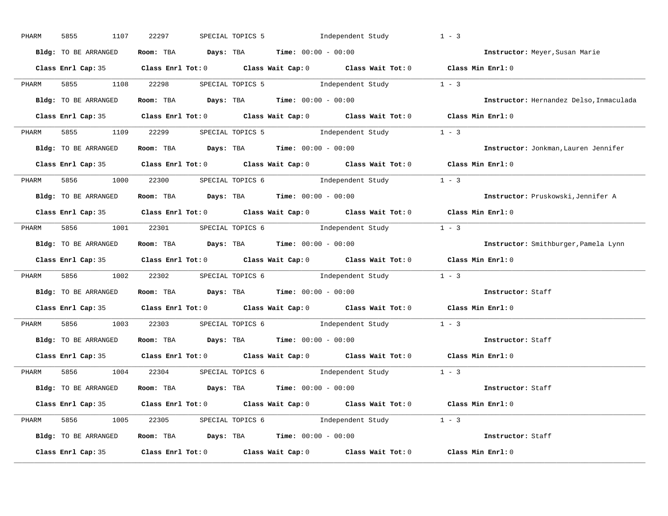| PHARM | 5855<br>1107         | 22297 | SPECIAL TOPICS 5 1ndependent Study                                                         | $1 - 3$                                 |
|-------|----------------------|-------|--------------------------------------------------------------------------------------------|-----------------------------------------|
|       | Bldg: TO BE ARRANGED |       | Room: TBA $Days:$ TBA $Time: 00:00 - 00:00$                                                | Instructor: Meyer, Susan Marie          |
|       |                      |       | Class Enrl Cap: 35 Class Enrl Tot: 0 Class Wait Cap: 0 Class Wait Tot: 0 Class Min Enrl: 0 |                                         |
| PHARM |                      |       | 5855 1108 22298 SPECIAL TOPICS 5 1ndependent Study 1 - 3                                   |                                         |
|       | Bldg: TO BE ARRANGED |       | Room: TBA $Days:$ TBA $Time: 00:00 - 00:00$                                                | Instructor: Hernandez Delso, Inmaculada |
|       |                      |       | Class Enrl Cap: 35 Class Enrl Tot: 0 Class Wait Cap: 0 Class Wait Tot: 0 Class Min Enrl: 0 |                                         |
| PHARM |                      |       | 5855 1109 22299 SPECIAL TOPICS 5 1ndependent Study 1 - 3                                   |                                         |
|       | Bldg: TO BE ARRANGED |       | Room: TBA $Days:$ TBA $Time: 00:00 - 00:00$                                                | Instructor: Jonkman, Lauren Jennifer    |
|       |                      |       | Class Enrl Cap: 35 Class Enrl Tot: 0 Class Wait Cap: 0 Class Wait Tot: 0 Class Min Enrl: 0 |                                         |
|       |                      |       | PHARM 5856 1000 22300 SPECIAL TOPICS 6 1 Independent Study 1 - 3                           |                                         |
|       | Bldg: TO BE ARRANGED |       | Room: TBA $\rule{1em}{0.15mm}$ Days: TBA Time: $00:00 - 00:00$                             | Instructor: Pruskowski, Jennifer A      |
|       |                      |       | Class Enrl Cap: 35 Class Enrl Tot: 0 Class Wait Cap: 0 Class Wait Tot: 0 Class Min Enrl: 0 |                                         |
| PHARM |                      |       | 5856 1001 22301 SPECIAL TOPICS 6 Independent Study 1 - 3                                   |                                         |
|       | Bldg: TO BE ARRANGED |       | Room: TBA $\rule{1em}{0.15mm}$ Days: TBA Time: $00:00 - 00:00$                             | Instructor: Smithburger, Pamela Lynn    |
|       |                      |       | Class Enrl Cap: 35 Class Enrl Tot: 0 Class Wait Cap: 0 Class Wait Tot: 0 Class Min Enrl: 0 |                                         |
| PHARM |                      |       | 5856 1002 22302 SPECIAL TOPICS 6 Independent Study 1 - 3                                   |                                         |
|       | Bldg: TO BE ARRANGED |       | Room: TBA $Days:$ TBA Time: $00:00 - 00:00$                                                | Instructor: Staff                       |
|       |                      |       | Class Enrl Cap: 35 Class Enrl Tot: 0 Class Wait Cap: 0 Class Wait Tot: 0 Class Min Enrl: 0 |                                         |
| PHARM |                      |       | 5856 1003 22303 SPECIAL TOPICS 6 Independent Study 1 - 3                                   |                                         |
|       | Bldg: TO BE ARRANGED |       | Room: TBA $\rule{1em}{0.15mm}$ Days: TBA $\rule{1.5mm}{0.15mm}$ Time: $00:00 - 00:00$      | Instructor: Staff                       |
|       |                      |       | Class Enrl Cap: 35 Class Enrl Tot: 0 Class Wait Cap: 0 Class Wait Tot: 0 Class Min Enrl: 0 |                                         |
| PHARM |                      |       | 5856 1004 22304 SPECIAL TOPICS 6 Independent Study 1 - 3                                   |                                         |
|       | Bldg: TO BE ARRANGED |       | Room: TBA $Days:$ TBA $Time:$ $00:00 - 00:00$                                              | <b>Instructor:</b> Staff                |
|       |                      |       | Class Enrl Cap: 35 Class Enrl Tot: 0 Class Wait Cap: 0 Class Wait Tot: 0 Class Min Enrl: 0 |                                         |
|       |                      |       | PHARM 5856 1005 22305 SPECIAL TOPICS 6 1ndependent Study 1 - 3                             |                                         |
|       | Bldg: TO BE ARRANGED |       | Room: TBA $Days:$ TBA $Time:$ $00:00 - 00:00$                                              | Instructor: Staff                       |
|       |                      |       |                                                                                            |                                         |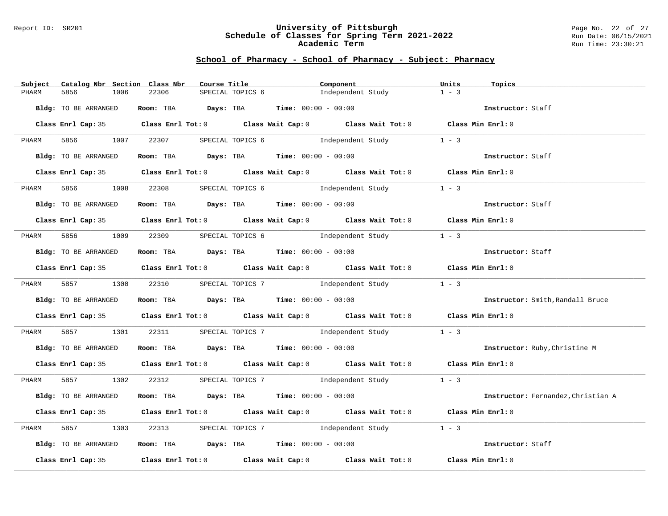#### Report ID: SR201 **University of Pittsburgh** Page No. 22 of 27 **Schedule of Classes for Spring Term 2021-2022** Run Date: 06/15/2021 **Academic Term** Run Time: 23:30:21

| Subject | Catalog Nbr Section Class Nbr | Course Title                                                   |                  | Component                                                                                  | Units<br>Topics                    |
|---------|-------------------------------|----------------------------------------------------------------|------------------|--------------------------------------------------------------------------------------------|------------------------------------|
| PHARM   | 5856<br>1006                  | 22306                                                          | SPECIAL TOPICS 6 | Independent Study                                                                          | $1 - 3$                            |
|         | Bldg: TO BE ARRANGED          | Room: TBA $Days:$ TBA $Time: 00:00 - 00:00$                    |                  |                                                                                            | Instructor: Staff                  |
|         |                               |                                                                |                  | Class Enrl Cap: 35 Class Enrl Tot: 0 Class Wait Cap: 0 Class Wait Tot: 0 Class Min Enrl: 0 |                                    |
| PHARM   |                               |                                                                |                  | 5856 1007 22307 SPECIAL TOPICS 6 Independent Study                                         | $1 - 3$                            |
|         | Bldg: TO BE ARRANGED          |                                                                |                  | Room: TBA $Days:$ TBA $Time: 00:00 - 00:00$                                                | Instructor: Staff                  |
|         |                               |                                                                |                  | Class Enrl Cap: 35 Class Enrl Tot: 0 Class Wait Cap: 0 Class Wait Tot: 0 Class Min Enrl: 0 |                                    |
| PHARM   |                               | 5856 1008 22308 SPECIAL TOPICS 6 Independent Study             |                  |                                                                                            | $1 - 3$                            |
|         | Bldg: TO BE ARRANGED          | Room: TBA $Days:$ TBA $Time: 00:00 - 00:00$                    |                  |                                                                                            | Instructor: Staff                  |
|         |                               |                                                                |                  | Class Enrl Cap: 35 Class Enrl Tot: 0 Class Wait Cap: 0 Class Wait Tot: 0 Class Min Enrl: 0 |                                    |
| PHARM   |                               |                                                                |                  | 5856 1009 22309 SPECIAL TOPICS 6 Independent Study                                         | $1 - 3$                            |
|         | Bldg: TO BE ARRANGED          | Room: TBA $Days:$ TBA $Time: 00:00 - 00:00$                    |                  |                                                                                            | Instructor: Staff                  |
|         |                               |                                                                |                  | Class Enrl Cap: 35 Class Enrl Tot: 0 Class Wait Cap: 0 Class Wait Tot: 0 Class Min Enrl: 0 |                                    |
|         |                               |                                                                |                  | PHARM 5857 1300 22310 SPECIAL TOPICS 7 Independent Study 1 - 3                             |                                    |
|         | Bldg: TO BE ARRANGED          | Room: TBA $\rule{1em}{0.15mm}$ Days: TBA Time: $00:00 - 00:00$ |                  |                                                                                            | Instructor: Smith, Randall Bruce   |
|         |                               |                                                                |                  | Class Enrl Cap: 35 Class Enrl Tot: 0 Class Wait Cap: 0 Class Wait Tot: 0 Class Min Enrl: 0 |                                    |
| PHARM   |                               |                                                                |                  | 5857 1301 22311 SPECIAL TOPICS 7 1ndependent Study                                         | $1 - 3$                            |
|         | Bldg: TO BE ARRANGED          | Room: TBA  Days: TBA  Time: $00:00 - 00:00$                    |                  |                                                                                            | Instructor: Ruby, Christine M      |
|         |                               |                                                                |                  | Class Enrl Cap: 35 Class Enrl Tot: 0 Class Wait Cap: 0 Class Wait Tot: 0 Class Min Enrl: 0 |                                    |
|         |                               |                                                                |                  | PHARM 5857 1302 22312 SPECIAL TOPICS 7 Independent Study 1 - 3                             |                                    |
|         | Bldg: TO BE ARRANGED          | Room: TBA $Days:$ TBA $Time: 00:00 - 00:00$                    |                  |                                                                                            | Instructor: Fernandez, Christian A |
|         |                               |                                                                |                  | Class Enrl Cap: 35 Class Enrl Tot: 0 Class Wait Cap: 0 Class Wait Tot: 0 Class Min Enrl: 0 |                                    |
| PHARM   | 5857<br>1303                  |                                                                |                  | 22313 SPECIAL TOPICS 7 1ndependent Study                                                   | $1 - 3$                            |
|         | Bldg: TO BE ARRANGED          | Room: TBA $Days:$ TBA $Time: 00:00 - 00:00$                    |                  |                                                                                            | Instructor: Staff                  |
|         |                               |                                                                |                  | Class Enrl Cap: 35 Class Enrl Tot: 0 Class Wait Cap: 0 Class Wait Tot: 0 Class Min Enrl: 0 |                                    |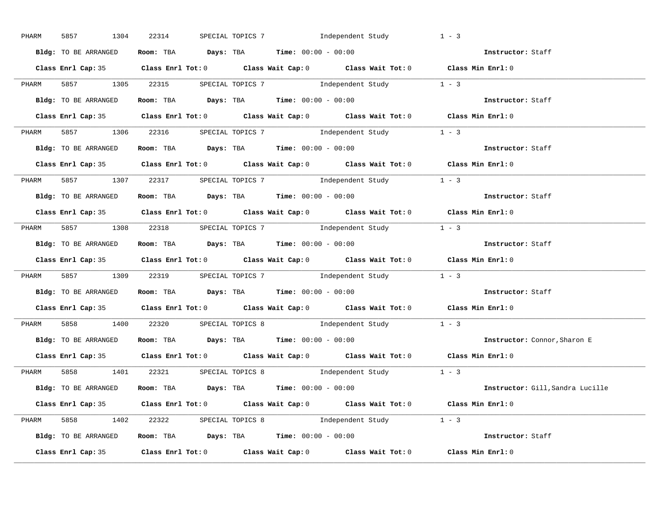| PHARM | 5857<br>1304         | 22314 | SPECIAL TOPICS 7 1ndependent Study                                                         | $1 - 3$                                                        |
|-------|----------------------|-------|--------------------------------------------------------------------------------------------|----------------------------------------------------------------|
|       | Bldg: TO BE ARRANGED |       | Room: TBA $Days:$ TBA $Time:$ $00:00 - 00:00$                                              | Instructor: Staff                                              |
|       |                      |       | Class Enrl Cap: 35 Class Enrl Tot: 0 Class Wait Cap: 0 Class Wait Tot: 0 Class Min Enrl: 0 |                                                                |
|       |                      |       | PHARM 5857 1305 22315 SPECIAL TOPICS 7 Independent Study 1 - 3                             |                                                                |
|       | Bldg: TO BE ARRANGED |       | Room: TBA $Days:$ TBA $Time: 00:00 - 00:00$                                                | Instructor: Staff                                              |
|       |                      |       | Class Enrl Cap: 35 Class Enrl Tot: 0 Class Wait Cap: 0 Class Wait Tot: 0 Class Min Enrl: 0 |                                                                |
|       |                      |       | PHARM 5857 1306 22316 SPECIAL TOPICS 7 1ndependent Study 1 - 3                             |                                                                |
|       |                      |       | Bldg: TO BE ARRANGED ROOM: TBA Days: TBA Time: 00:00 - 00:00                               | Instructor: Staff                                              |
|       |                      |       | Class Enrl Cap: 35 Class Enrl Tot: 0 Class Wait Cap: 0 Class Wait Tot: 0 Class Min Enrl: 0 |                                                                |
|       |                      |       | PHARM 5857 1307 22317 SPECIAL TOPICS 7 Independent Study 1 - 3                             |                                                                |
|       | Bldg: TO BE ARRANGED |       | Room: TBA $\rule{1em}{0.15mm}$ Days: TBA $\rule{1.15mm}]{0.15mm}$ Time: $0.000 - 0.000$    | Instructor: Staff                                              |
|       |                      |       | Class Enrl Cap: 35 Class Enrl Tot: 0 Class Wait Cap: 0 Class Wait Tot: 0 Class Min Enrl: 0 |                                                                |
|       |                      |       | PHARM 5857 1308 22318 SPECIAL TOPICS 7 1 Independent Study 1 - 3                           |                                                                |
|       | Bldg: TO BE ARRANGED |       | Room: TBA $Days:$ TBA $Time: 00:00 - 00:00$                                                | Instructor: Staff                                              |
|       |                      |       | Class Enrl Cap: 35 Class Enrl Tot: 0 Class Wait Cap: 0 Class Wait Tot: 0 Class Min Enrl: 0 |                                                                |
| PHARM |                      |       | 5857 1309 22319 SPECIAL TOPICS 7 1ndependent Study 1 - 3                                   |                                                                |
|       |                      |       | Bldg: TO BE ARRANGED Room: TBA Days: TBA Time: 00:00 - 00:00                               | Instructor: Staff                                              |
|       |                      |       | Class Enrl Cap: 35 Class Enrl Tot: 0 Class Wait Cap: 0 Class Wait Tot: 0 Class Min Enrl: 0 |                                                                |
| PHARM |                      |       | 5858 1400 22320 SPECIAL TOPICS 8 Independent Study 1 - 3                                   |                                                                |
|       |                      |       | Bldg: TO BE ARRANGED Room: TBA Days: TBA Time: 00:00 - 00:00                               | Instructor: Connor, Sharon E                                   |
|       |                      |       | Class Enrl Cap: 35 Class Enrl Tot: 0 Class Wait Cap: 0 Class Wait Tot: 0 Class Min Enrl: 0 |                                                                |
|       |                      |       | PHARM 5858 1401 22321 SPECIAL TOPICS 8 Independent Study 1 - 3                             |                                                                |
|       |                      |       | <b>Bldg:</b> TO BE ARRANGED <b>Room:</b> TBA <b>Days:</b> TBA <b>Time:</b> $00:00 - 00:00$ | Instructor: Gill, Sandra Lucille                               |
|       |                      |       | Class Enrl Cap: 35 Class Enrl Tot: 0 Class Wait Cap: 0 Class Wait Tot: 0 Class Min Enrl: 0 |                                                                |
|       |                      |       | PHARM 5858 1402 22322 SPECIAL TOPICS 8 Independent Study 1 - 3                             |                                                                |
|       |                      |       |                                                                                            | Bldg: TO BE ARRANGED Room: TBA Days: TBA Time: $00:00 - 00:00$ |
|       |                      |       | Class Enrl Cap: 35 Class Enrl Tot: 0 Class Wait Cap: 0 Class Wait Tot: 0 Class Min Enrl: 0 |                                                                |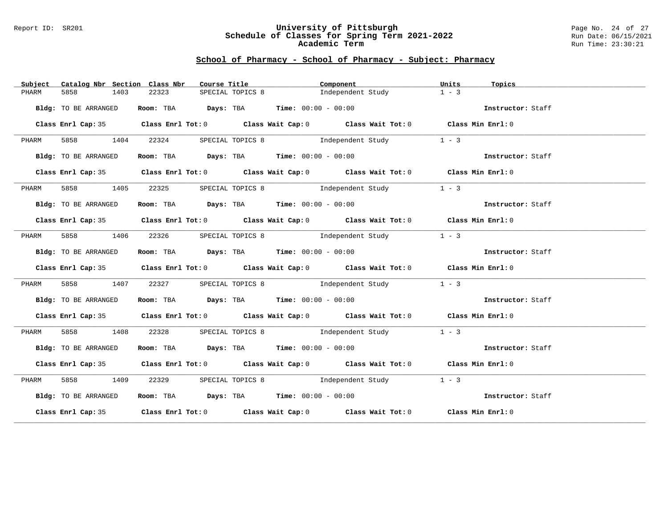#### Report ID: SR201 **University of Pittsburgh** Page No. 24 of 27 **Schedule of Classes for Spring Term 2021-2022** Run Date: 06/15/2021 **Academic Term** Run Time: 23:30:21

| Subject | Catalog Nbr Section Class Nbr |       | Course Title <b>Source Search</b>                                                          | Component         | Units<br>Topics                    |  |
|---------|-------------------------------|-------|--------------------------------------------------------------------------------------------|-------------------|------------------------------------|--|
| PHARM   | 5858<br>1403                  | 22323 | SPECIAL TOPICS 8                                                                           | Independent Study | $1 - 3$                            |  |
|         | Bldg: TO BE ARRANGED          |       | Room: TBA $\rule{1em}{0.15mm}$ Days: TBA Time: $00:00 - 00:00$                             |                   | Instructor: Staff                  |  |
|         |                               |       | Class Enrl Cap: 35 Class Enrl Tot: 0 Class Wait Cap: 0 Class Wait Tot: 0 Class Min Enrl: 0 |                   |                                    |  |
| PHARM   | 5858 1404                     | 22324 | SPECIAL TOPICS 8 1ndependent Study                                                         |                   | $1 - 3$                            |  |
|         | Bldg: TO BE ARRANGED          |       | <b>Room:</b> TBA <b>Days:</b> TBA <b>Time:</b> 00:00 - 00:00                               |                   | Instructor: Staff                  |  |
|         |                               |       | Class Enrl Cap: 35 Class Enrl Tot: 0 Class Wait Cap: 0 Class Wait Tot: 0 Class Min Enrl: 0 |                   |                                    |  |
| PHARM   | 5858 1405                     | 22325 | SPECIAL TOPICS 8 Thdependent Study                                                         |                   | $1 - 3$                            |  |
|         | Bldg: TO BE ARRANGED          |       | Room: TBA $Days:$ TBA $Time: 00:00 - 00:00$                                                |                   | Instructor: Staff                  |  |
|         |                               |       | Class Enrl Cap: 35 Class Enrl Tot: 0 Class Wait Cap: 0 Class Wait Tot: 0 Class Min Enrl: 0 |                   |                                    |  |
| PHARM   |                               |       | 5858 1406 22326 SPECIAL TOPICS 8 Independent Study                                         |                   | $1 - 3$                            |  |
|         | Bldg: TO BE ARRANGED          |       | Room: TBA $Days:$ TBA $Time: 00:00 - 00:00$                                                |                   | <b>Example 2</b> Instructor: Staff |  |
|         |                               |       | Class Enrl Cap: 35 Class Enrl Tot: 0 Class Wait Cap: 0 Class Wait Tot: 0 Class Min Enrl: 0 |                   |                                    |  |
| PHARM   | 5858 1407                     | 22327 | SPECIAL TOPICS 8 1ndependent Study 1 - 3                                                   |                   |                                    |  |
|         | Bldg: TO BE ARRANGED          |       | Room: TBA $\rule{1em}{0.15mm}$ Days: TBA Time: $00:00 - 00:00$                             |                   | Instructor: Staff                  |  |
|         |                               |       | Class Enrl Cap: 35 Class Enrl Tot: 0 Class Wait Cap: 0 Class Wait Tot: 0 Class Min Enrl: 0 |                   |                                    |  |
| PHARM   | 5858 1408                     | 22328 | SPECIAL TOPICS 8 1ndependent Study                                                         |                   | $1 - 3$                            |  |
|         | Bldg: TO BE ARRANGED          |       | <b>Room:</b> TBA <b>Days:</b> TBA <b>Time:</b> 00:00 - 00:00                               |                   | Instructor: Staff                  |  |
|         |                               |       | Class Enrl Cap: 35 Class Enrl Tot: 0 Class Wait Cap: 0 Class Wait Tot: 0 Class Min Enrl: 0 |                   |                                    |  |
| PHARM   | 5858 1409                     |       | 22329 SPECIAL TOPICS 8 1ndependent Study 1 - 3                                             |                   |                                    |  |
|         | Bldg: TO BE ARRANGED          |       | Room: TBA $Days:$ TBA Time: $00:00 - 00:00$                                                |                   | Instructor: Staff                  |  |
|         |                               |       | Class Enrl Cap: 35 Class Enrl Tot: 0 Class Wait Cap: 0 Class Wait Tot: 0 Class Min Enrl: 0 |                   |                                    |  |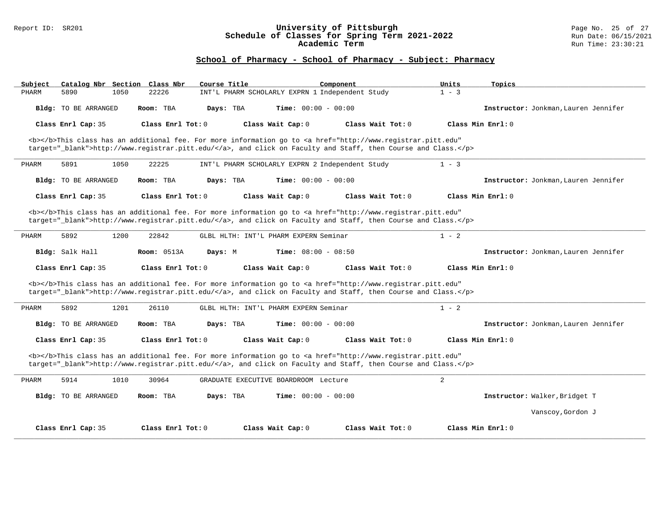#### Report ID: SR201 **University of Pittsburgh** Page No. 25 of 27 **Schedule of Classes for Spring Term 2021-2022** Run Date: 06/15/2021 **Academic Term** Run Time: 23:30:21

| Subject                                                                                                                                                                                                                            | Catalog Nbr Section Class Nbr | Course Title        |                                                 | Component                                                                                                                                                                                                                          | Units   | Topics                               |  |  |
|------------------------------------------------------------------------------------------------------------------------------------------------------------------------------------------------------------------------------------|-------------------------------|---------------------|-------------------------------------------------|------------------------------------------------------------------------------------------------------------------------------------------------------------------------------------------------------------------------------------|---------|--------------------------------------|--|--|
| 5890<br>PHARM                                                                                                                                                                                                                      | 1050<br>22226                 |                     | INT'L PHARM SCHOLARLY EXPRN 1 Independent Study |                                                                                                                                                                                                                                    | $1 - 3$ |                                      |  |  |
| <b>Bldg:</b> TO BE ARRANGED                                                                                                                                                                                                        | Room: TBA                     | Days: TBA           | <b>Time:</b> $00:00 - 00:00$                    |                                                                                                                                                                                                                                    |         | Instructor: Jonkman, Lauren Jennifer |  |  |
| Class Enrl Cap: 35                                                                                                                                                                                                                 |                               | Class Enrl Tot: 0   | Class Wait Cap: 0                               | Class Wait Tot: 0                                                                                                                                                                                                                  |         | Class Min Enrl: 0                    |  |  |
|                                                                                                                                                                                                                                    |                               |                     |                                                 | <b></b> This class has an additional fee. For more information go to <a <br="" href="http://www.registrar.pitt.edu">target="_blank"&gt;http://www.registrar.pitt.edu/</a> , and click on Faculty and Staff, then Course and Class. |         |                                      |  |  |
| 5891<br>PHARM                                                                                                                                                                                                                      | 1050<br>22225                 |                     | INT'L PHARM SCHOLARLY EXPRN 2 Independent Study |                                                                                                                                                                                                                                    | $1 - 3$ |                                      |  |  |
| <b>Bldg:</b> TO BE ARRANGED                                                                                                                                                                                                        | Room: TBA                     | Days: TBA           | Time: $00:00 - 00:00$                           |                                                                                                                                                                                                                                    |         | Instructor: Jonkman, Lauren Jennifer |  |  |
| Class Enrl Cap: 35                                                                                                                                                                                                                 |                               | Class Enrl Tot: 0   | Class Wait Cap: 0                               | Class Wait Tot: 0                                                                                                                                                                                                                  |         | Class Min Enrl: 0                    |  |  |
|                                                                                                                                                                                                                                    |                               |                     |                                                 | <b></b> This class has an additional fee. For more information go to <a <br="" href="http://www.registrar.pitt.edu">target="_blank"&gt;http://www.registrar.pitt.edu/</a> , and click on Faculty and Staff, then Course and Class. |         |                                      |  |  |
| 5892<br>PHARM                                                                                                                                                                                                                      | 1200<br>22842                 |                     | GLBL HLTH: INT'L PHARM EXPERN Seminar           |                                                                                                                                                                                                                                    | $1 - 2$ |                                      |  |  |
| Bldg: Salk Hall                                                                                                                                                                                                                    | <b>Room: 0513A</b>            | Days: M             | <b>Time:</b> $08:00 - 08:50$                    |                                                                                                                                                                                                                                    |         | Instructor: Jonkman, Lauren Jennifer |  |  |
| Class Enrl Cap: 35                                                                                                                                                                                                                 |                               | Class Enrl Tot: $0$ | Class Wait Cap: 0                               | Class Wait $Tot: 0$                                                                                                                                                                                                                |         | Class Min Enrl: 0                    |  |  |
| <b></b> This class has an additional fee. For more information go to <a <br="" href="http://www.registrar.pitt.edu">target="_blank"&gt;http://www.registrar.pitt.edu/</a> , and click on Faculty and Staff, then Course and Class. |                               |                     |                                                 |                                                                                                                                                                                                                                    |         |                                      |  |  |
| PHARM<br>5892                                                                                                                                                                                                                      | 1201<br>26110                 |                     | GLBL HLTH: INT'L PHARM EXPERN Seminar           |                                                                                                                                                                                                                                    | $1 - 2$ |                                      |  |  |
| <b>Bldg:</b> TO BE ARRANGED                                                                                                                                                                                                        | Room: TBA                     | Days: TBA           | Time: $00:00 - 00:00$                           |                                                                                                                                                                                                                                    |         | Instructor: Jonkman, Lauren Jennifer |  |  |
| Class Enrl Cap: 35                                                                                                                                                                                                                 |                               | Class Enrl Tot: $0$ | Class Wait Cap: 0                               | Class Wait Tot: 0                                                                                                                                                                                                                  |         | Class Min Enrl: 0                    |  |  |
| <b></b> This class has an additional fee. For more information go to <a <br="" href="http://www.registrar.pitt.edu">target="_blank"&gt;http://www.registrar.pitt.edu/</a> , and click on Faculty and Staff, then Course and Class. |                               |                     |                                                 |                                                                                                                                                                                                                                    |         |                                      |  |  |
| 5914<br>PHARM                                                                                                                                                                                                                      | 1010<br>30964                 |                     | GRADUATE EXECUTIVE BOARDROOM Lecture            |                                                                                                                                                                                                                                    | 2       |                                      |  |  |
| Bldg: TO BE ARRANGED                                                                                                                                                                                                               | Room: TBA                     | Days: TBA           | <b>Time:</b> $00:00 - 00:00$                    |                                                                                                                                                                                                                                    |         | Instructor: Walker, Bridget T        |  |  |
|                                                                                                                                                                                                                                    |                               |                     |                                                 |                                                                                                                                                                                                                                    |         | Vanscoy, Gordon J                    |  |  |
| Class Enrl Cap: 35                                                                                                                                                                                                                 |                               | Class Enrl Tot: 0   | Class Wait Cap: 0                               | Class Wait Tot: 0                                                                                                                                                                                                                  |         | Class Min Enrl: 0                    |  |  |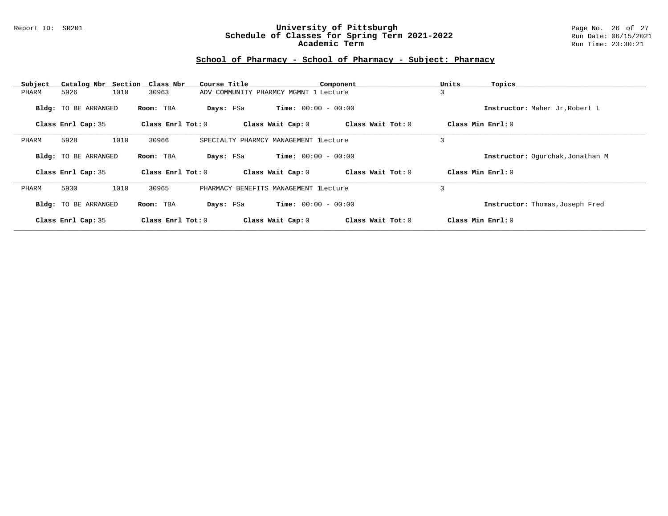### Report ID: SR201 **University of Pittsburgh** Page No. 26 of 27 **Schedule of Classes for Spring Term 2021-2022** Run Date: 06/15/2021 **Academic Term** Run Time: 23:30:21

| Subject            | Catalog Nbr Section Class Nbr |      |                     | Course Title                          |                              | Component         | Units | Topics                           |
|--------------------|-------------------------------|------|---------------------|---------------------------------------|------------------------------|-------------------|-------|----------------------------------|
| PHARM              | 5926                          | 1010 | 30963               | ADV COMMUNITY PHARMCY MGMNT 1 Lecture |                              |                   | 3     |                                  |
|                    | <b>Bldg:</b> TO BE ARRANGED   |      | Room: TBA           | Days: FSa                             | <b>Time:</b> $00:00 - 00:00$ |                   |       | Instructor: Maher Jr, Robert L   |
|                    | Class Enrl Cap: 35            |      | Class Enrl Tot: $0$ |                                       | Class Wait Cap: 0            | Class Wait Tot: 0 |       | Class Min $Enr1: 0$              |
| PHARM              | 5928                          | 1010 | 30966               | SPECIALTY PHARMCY MANAGEMENT lLecture |                              |                   | 3     |                                  |
|                    | Bldg: TO BE ARRANGED          |      | Room: TBA           | Days: FSa                             | <b>Time:</b> $00:00 - 00:00$ |                   |       | Instructor: Ogurchak, Jonathan M |
|                    | Class Enrl Cap: 35            |      | Class Enrl Tot: $0$ |                                       | Class Wait Cap: 0            | Class Wait Tot: 0 |       | Class Min $Enr1: 0$              |
| PHARM              | 5930                          | 1010 | 30965               | PHARMACY BENEFITS MANAGEMENT LLecture |                              |                   | 3     |                                  |
|                    | <b>Bldg:</b> TO BE ARRANGED   |      | Room: TBA           | Days: FSa                             | <b>Time:</b> $00:00 - 00:00$ |                   |       | Instructor: Thomas, Joseph Fred  |
| Class Enrl Cap: 35 |                               |      | Class Enrl Tot: $0$ |                                       | Class Wait Cap: 0            | Class Wait Tot: 0 |       | Class Min Enrl: 0                |